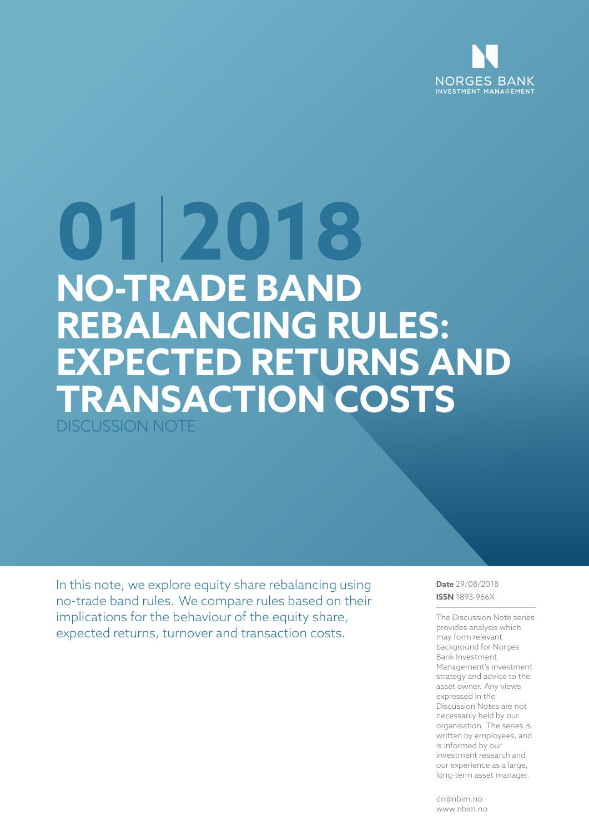

# **01 2018 NO-TRADE BAND REBALANCING RULES: EXPECTED RETURNS AND TRANSACTION COSTS** DISCUSSION NOTE

In this note, we explore equity share rebalancing using no-trade band rules. We compare rules based on their implications for the behaviour of the equity share, expected returns, turnover and transaction costs.

**Date** 29/08/2018 **ISSN** 1893-966X

The Discussion Note series provides analysis which may form relevant background for Norges Bank Investment Management's investment strategy and advice to the asset owner. Any views expressed in the Discussion Notes are not necessarily held by our organisation. The series is written by employees, and is informed by our investment research and our experience as a large, long-term asset manager.

dn@nbim.no www.nbim.no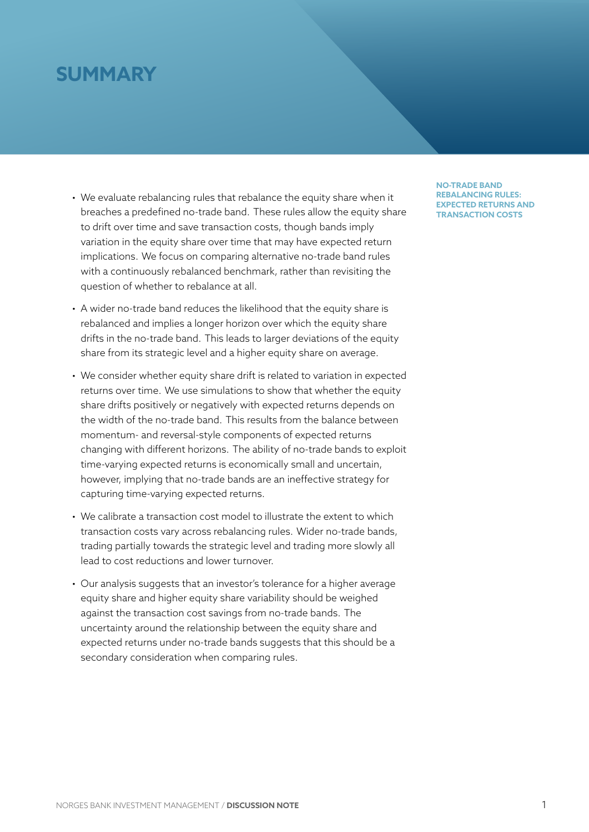# **SUMMARY**

- We evaluate rebalancing rules that rebalance the equity share when it breaches a predefined no-trade band. These rules allow the equity share to drift over time and save transaction costs, though bands imply variation in the equity share over time that may have expected return implications. We focus on comparing alternative no-trade band rules with a continuously rebalanced benchmark, rather than revisiting the question of whether to rebalance at all.
- A wider no-trade band reduces the likelihood that the equity share is rebalanced and implies a longer horizon over which the equity share drifts in the no-trade band. This leads to larger deviations of the equity share from its strategic level and a higher equity share on average.
- We consider whether equity share drift is related to variation in expected returns over time. We use simulations to show that whether the equity share drifts positively or negatively with expected returns depends on the width of the no-trade band. This results from the balance between momentum- and reversal-style components of expected returns changing with different horizons. The ability of no-trade bands to exploit time-varying expected returns is economically small and uncertain, however, implying that no-trade bands are an ineffective strategy for capturing time-varying expected returns.
- We calibrate a transaction cost model to illustrate the extent to which transaction costs vary across rebalancing rules. Wider no-trade bands, trading partially towards the strategic level and trading more slowly all lead to cost reductions and lower turnover.
- Our analysis suggests that an investor's tolerance for a higher average equity share and higher equity share variability should be weighed against the transaction cost savings from no-trade bands. The uncertainty around the relationship between the equity share and expected returns under no-trade bands suggests that this should be a secondary consideration when comparing rules.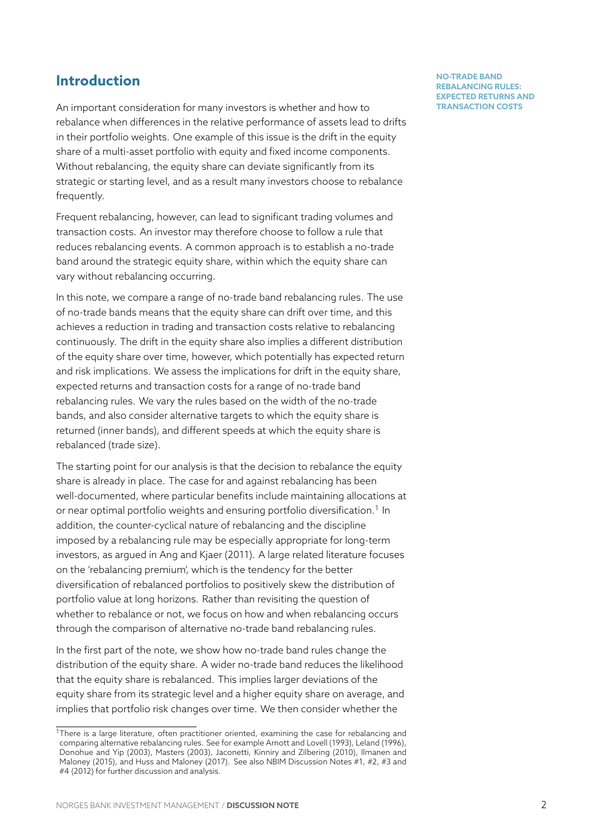# **Introduction**

An important consideration for many investors is whether and how to rebalance when differences in the relative performance of assets lead to drifts in their portfolio weights. One example of this issue is the drift in the equity share of a multi-asset portfolio with equity and fixed income components. Without rebalancing, the equity share can deviate significantly from its strategic or starting level, and as a result many investors choose to rebalance frequently.

Frequent rebalancing, however, can lead to significant trading volumes and transaction costs. An investor may therefore choose to follow a rule that reduces rebalancing events. A common approach is to establish a no-trade band around the strategic equity share, within which the equity share can vary without rebalancing occurring.

In this note, we compare a range of no-trade band rebalancing rules. The use of no-trade bands means that the equity share can drift over time, and this achieves a reduction in trading and transaction costs relative to rebalancing continuously. The drift in the equity share also implies a different distribution of the equity share over time, however, which potentially has expected return and risk implications. We assess the implications for drift in the equity share, expected returns and transaction costs for a range of no-trade band rebalancing rules. We vary the rules based on the width of the no-trade bands, and also consider alternative targets to which the equity share is returned (inner bands), and different speeds at which the equity share is rebalanced (trade size).

The starting point for our analysis is that the decision to rebalance the equity share is already in place. The case for and against rebalancing has been well-documented, where particular benefits include maintaining allocations at or near optimal portfolio weights and ensuring portfolio diversification. $^{\rm 1}$  In addition, the counter-cyclical nature of rebalancing and the discipline imposed by a rebalancing rule may be especially appropriate for long-term investors, as argued in Ang and Kjaer (2011). A large related literaturef[oc](#page-2-0)uses on the 'rebalancing premium', which is the tendency for the better diversification of rebalanced portfolios to positively skew the distribution of portfolio value at long horizons. Rather than revisiting the question of whether to rebalance or not, we focus on how and when rebalancing occurs through the comparison of alternative no-trade band rebalancing rules.

In the first part of the note, we show how no-trade band rules change the distribution of the equity share. A wider no-trade band reduces the likelihood that the equity share is rebalanced. This implies larger deviations of the equity share from its strategic level and a higher equity share on average, and implies that portfolio risk changes over time. We then consider whether the

<span id="page-2-0"></span> $1$ There is a large literature, often practitioner oriented, examining the case for rebalancing and comparing alternative rebalancing rules. See for example Arnott and Lovell (1993), Leland (1996), Donohue and Yip (2003), Masters (2003), Jaconetti, Kinniry and Zilbering (2010), Ilmanen and Maloney (2015), and Huss and Maloney (2017). See also NBIM Discussion Notes #1, #2, #3 and #4 (2012) for further discussion and analysis.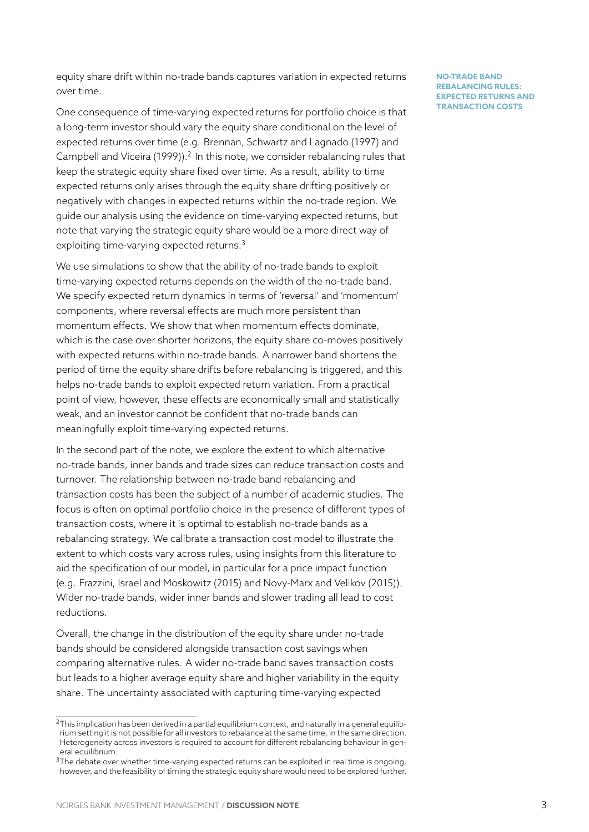equity share drift within no-trade bands captures variation in expected returns over time.

One consequence of time-varying expected returns for portfolio choice is that a long-term investor should vary the equity share conditional on the level of expected returns over time (e.g. Brennan, Schwartz and Lagnado (1997) and Campbell and Viceira (1999)).<sup>2</sup> In this note, we consider rebalancing rules that keep the strategic equity share fixed over time. As a result, ability to time expected returns only arises through the equity share drifting positively or negatively with changes in e[xp](#page-3-0)ected returns within the no-trade region. We guide our analysis using the evidence on time-varying expected returns, but note that varying the strategic equity share would be a more direct way of exploiting time-varying expected returns.<sup>3</sup>

We use simulations to show that the ability of no-trade bands to exploit time-varying expected returns depends on the width of the no-trade band. We specify expected return dynamics in [te](#page-3-1)rms of 'reversal' and 'momentum' components, where reversal effects are much more persistent than momentum effects. We show that when momentum effects dominate, which is the case over shorter horizons, the equity share co-moves positively with expected returns within no-trade bands. A narrower band shortens the period of time the equity share drifts before rebalancing is triggered, and this helps no-trade bands to exploit expected return variation. From a practical point of view, however, these effects are economically small and statistically weak, and an investor cannot be confident that no-trade bands can meaningfully exploit time-varying expected returns.

In the second part of the note, we explore the extent to which alternative no-trade bands, inner bands and trade sizes can reduce transaction costs and turnover. The relationship between no-trade band rebalancing and transaction costs has been the subject of a number of academic studies. The focus is often on optimal portfolio choice in the presence of different types of transaction costs, where it is optimal to establish no-trade bands as a rebalancing strategy. We calibrate a transaction cost model to illustrate the extent to which costs vary across rules, using insights from this literature to aid the specification of our model, in particular for a price impact function (e.g. Frazzini, Israel and Moskowitz (2015) and Novy-Marx and Velikov (2015)). Wider no-trade bands, wider inner bands and slower trading all lead to cost reductions.

Overall, the change in the distribution of the equity share under no-trade bands should be considered alongside transaction cost savings when comparing alternative rules. A wider no-trade band saves transaction costs but leads to a higher average equity share and higher variability in the equity share. The uncertainty associated with capturing time-varying expected

<sup>&</sup>lt;sup>2</sup>This implication has been derived in a partial equilibrium context, and naturally in a general equilibrium setting it is not possible for all investors to rebalance at the same time, in the same direction. Heterogeneity across investors is required to account for different rebalancing behaviour in general equilibrium.

<span id="page-3-1"></span><span id="page-3-0"></span><sup>&</sup>lt;sup>3</sup>The debate over whether time-varying expected returns can be exploited in real time is ongoing, however, and the feasibility of timing the strategic equity share would need to be explored further.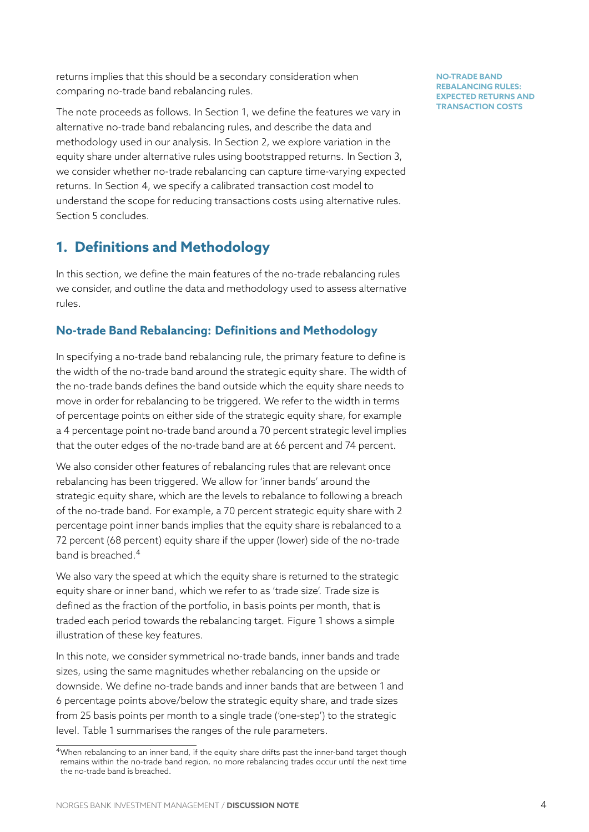returns implies that this should be a secondary consideration when comparing no-trade band rebalancing rules.

The note proceeds as follows. In Section 1, we define the features we vary in alternative no-trade band rebalancing rules, and describe the data and methodology used in our analysis. In Section 2, we explore variation in the equity share under alternative rules usin[g b](#page-4-0)ootstrapped returns. In Section 3, we consider whether no-trade rebalancing can capture time-varying expected returns. In Section 4, we specify a calibrated [tra](#page-6-0)nsaction cost model to understand the scope for reducing transactions costs using alternative rule[s.](#page-10-0) Section 5 concludes.

# **1. Definitio[ns](#page-19-0) and Methodology**

<span id="page-4-0"></span>In thiss[ec](#page-25-0)tion, we define the main features of the no-trade rebalancing rules we consider, and outline the data and methodology used to assess alternative rules.

# **No-trade Band Rebalancing: Definitions and Methodology**

In specifying a no-trade band rebalancing rule, the primary feature to define is the width of the no-trade band around the strategic equity share. The width of the no-trade bands defines the band outside which the equity share needs to move in order for rebalancing to be triggered. We refer to the width in terms of percentage points on either side of the strategic equity share, for example a 4 percentage point no-trade band around a 70 percent strategic level implies that the outer edges of the no-trade band are at 66 percent and 74 percent.

We also consider other features of rebalancing rules that are relevant once rebalancing has been triggered. We allow for 'inner bands' around the strategic equity share, which are the levels to rebalance to following a breach of the no-trade band. For example, a 70 percent strategic equity share with 2 percentage point inner bands implies that the equity share is rebalanced to a 72 percent (68 percent) equity share if the upper (lower) side of the no-trade band is breached.<sup>4</sup>

We also vary the speed at which the equity share is returned to the strategic equity share or inner band, which we refer to as 'trade size'. Trade size is defined as the fra[ct](#page-4-1)ion of the portfolio, in basis points per month, that is traded each period towards the rebalancing target. Figure 1 shows a simple illustration of these key features.

In this note, we consider symmetrical no-trade bands, inner bands and trade sizes, using the same magnitudes whether rebalancing on [t](#page-5-0)he upside or downside. We define no-trade bands and inner bands that are between 1 and 6 percentage points above/below the strategic equity share, and trade sizes from 25 basis points per month to a single trade ('one-step') to the strategic level. Table 1 summarises the ranges of the rule parameters.

<span id="page-4-1"></span> $4$ When rebalancing to an inner band, if the equity share drifts past the inner-band target though remains within the no-trade band region, no more rebalancing trades occur until the next time the no-trade [ba](#page-5-1)nd is breached.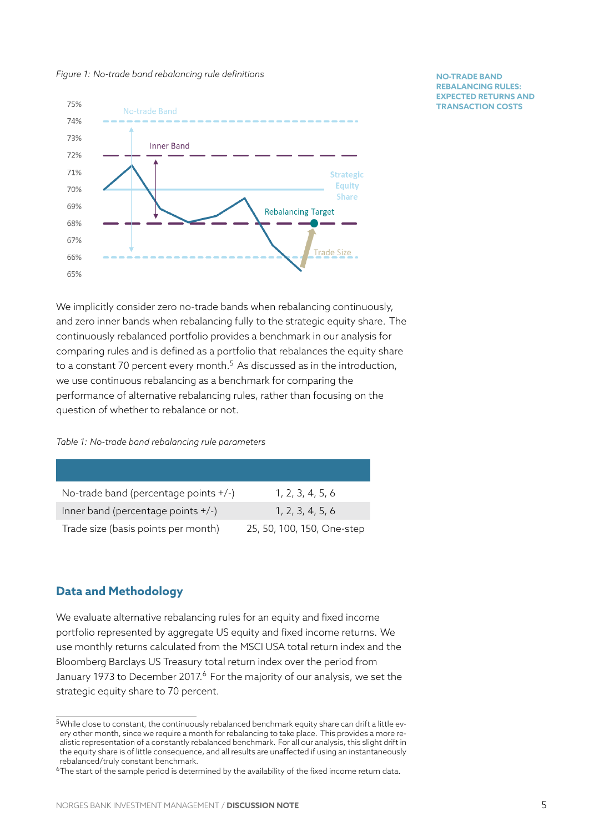#### *Figure 1: No-trade band rebalancing rule definitions*

<span id="page-5-0"></span>

We implicitly consider zero no-trade bands when rebalancing continuously, and zero inner bands when rebalancing fully to the strategic equity share. The continuously rebalanced portfolio provides a benchmark in our analysis for comparing rules and is defined as a portfolio that rebalances the equity share to a constant 70 percent every month.<sup>5</sup> As discussed as in the introduction, we use continuous rebalancing as a benchmark for comparing the performance of alternative rebalancing rules, rather than focusing on the question of whether to rebalance or n[ot](#page-5-2).

*Table 1: No-trade band rebalancing rule parameters*

<span id="page-5-1"></span>

| No-trade band (percentage points +/-) | 1, 2, 3, 4, 5, 6           |
|---------------------------------------|----------------------------|
| Inner band (percentage points $+/-$ ) | 1, 2, 3, 4, 5, 6           |
| Trade size (basis points per month)   | 25, 50, 100, 150, One-step |

# **Data and Methodology**

We evaluate alternative rebalancing rules for an equity and fixed income portfolio represented by aggregate US equity and fixed income returns. We use monthly returns calculated from the MSCI USA total return index and the Bloomberg Barclays US Treasury total return index over the period from January 1973 to December 2017.<sup>6</sup> For the majority of our analysis, we set the strategic equity share to 70 percent.

 $^5$ While close to constant, the continuou[sly](#page-5-3) rebalanced benchmark equity share can drift a little every other month, since we require a month for rebalancing to take place. This provides a more realistic representation of a constantly rebalanced benchmark. For all our analysis, this slight drift in the equity share is of little consequence, and all results are unaffected if using an instantaneously rebalanced/truly constant benchmark.

<span id="page-5-3"></span><span id="page-5-2"></span><sup>&</sup>lt;sup>6</sup>The start of the sample period is determined by the availability of the fixed income return data.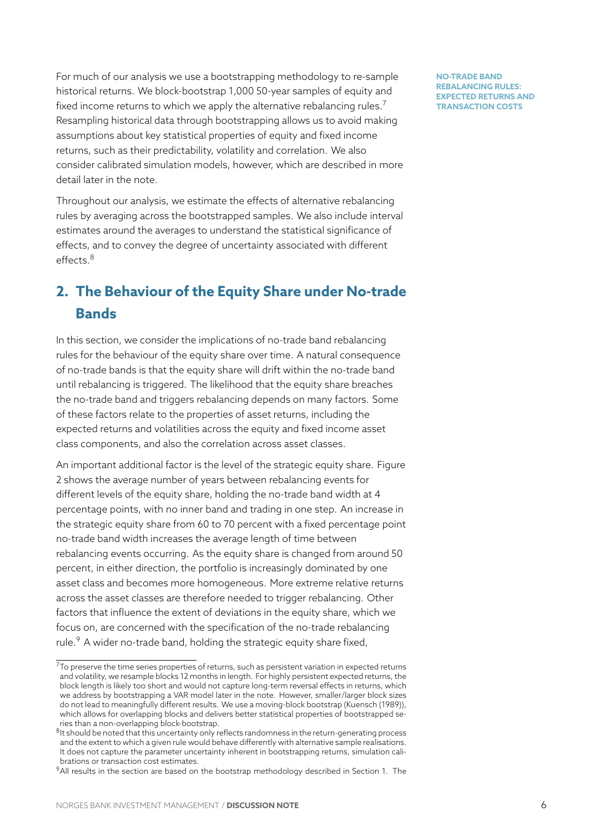For much of our analysis we use a bootstrapping methodology to re-sample historical returns. We block-bootstrap 1,000 50-year samples of equity and fixed income returns to which we apply the alternative rebalancing rules.<sup>7</sup> Resampling historical data through bootstrapping allows us to avoid making assumptions about key statistical properties of equity and fixed income returns, such as their predictability, volatility and correlation. We also consider calibrated simulation models, however, which are described in more detail later in the note.

Throughout our analysis, we estimate the effects of alternative rebalancing rules by averaging across the bootstrapped samples. We also include interval estimates around the averages to understand the statistical significance of effects, and to convey the degree of uncertainty associated with different effects.<sup>8</sup>

# **2. The Behaviour of the Equity Share under No-trade B[an](#page-6-1)ds**

<span id="page-6-0"></span>In this section, we consider the implications of no-trade band rebalancing rules for the behaviour of the equity share over time. A natural consequence of no-trade bands is that the equity share will drift within the no-trade band until rebalancing is triggered. The likelihood that the equity share breaches the no-trade band and triggers rebalancing depends on many factors. Some of these factors relate to the properties of asset returns, including the expected returns and volatilities across the equity and fixed income asset class components, and also the correlation across asset classes.

An important additional factor is the level of the strategic equity share. Figure 2 shows the average number of years between rebalancing events for different levels of the equity share, holding the no-trade band width at 4 percentage points, with no inner band and trading in one step. An increase in [th](#page-7-0)e strategic equity share from 60 to 70 percent with a fixed percentage point no-trade band width increases the average length of time between rebalancing events occurring. As the equity share is changed from around 50 percent, in either direction, the portfolio is increasingly dominated by one asset class and becomes more homogeneous. More extreme relative returns across the asset classes are therefore needed to trigger rebalancing. Other factors that influence the extent of deviations in the equity share, which we focus on, are concerned with the specification of the no-trade rebalancing rule.<sup>9</sup> A wider no-trade band, holding the strategic equity share fixed,

 $7$ To preserve the time series properties of returns, such as persistent variation in expected returns and volatility, we resample blocks 12 months in length. For highly persistent expected returns, the bloc[k](#page-6-2) length is likely too short and would not capture long-term reversal effects in returns, which we address by bootstrapping a VAR model later in the note. However, smaller/larger block sizes do not lead to meaningfully different results. We use a moving-block bootstrap (Kuensch (1989)), which allows for overlapping blocks and delivers better statistical properties of bootstrapped series than a non-overlapping block-bootstrap.

 $^8$ It should be noted that this uncertainty only reflects randomness in the return-generating process and the extent to which a given rule would behave differently with alternative sample realisations. It does not capture the parameter uncertainty inherent in bootstrapping returns, simulation calibrations or transaction cost estimates.

<span id="page-6-2"></span><span id="page-6-1"></span><sup>&</sup>lt;sup>9</sup>All results in the section are based on the bootstrap methodology described in Section 1. The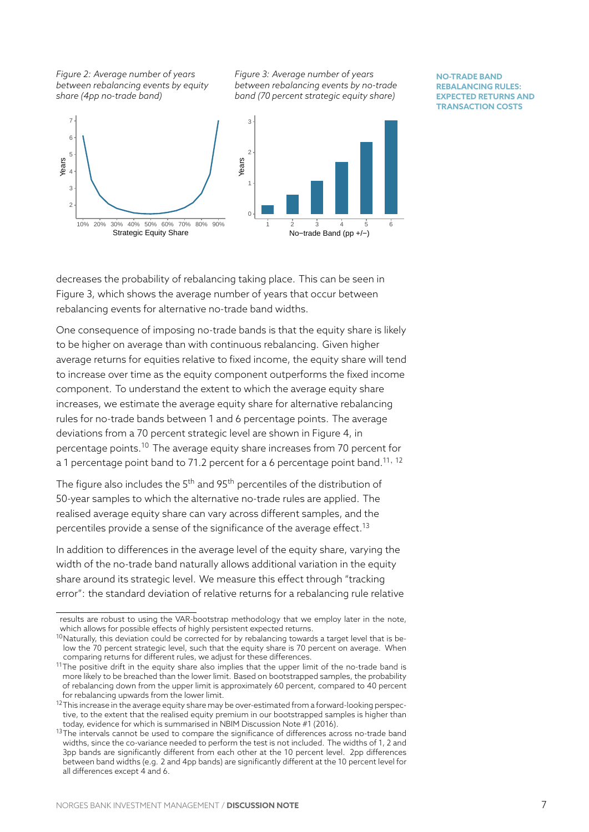*Figure 2: Average number of years between rebalancing events by equity share (4pp no-trade band)*

*Figure 3: Average number of years between rebalancing events by no-trade band (70 percent strategic equity share)*

#### <span id="page-7-0"></span>2 3 4 5 6 7 10% 20% 30% 40% 50% 60% 70% 80% 90% Strategic Equity Share Years 0 1  $\overline{2}$ 3 1 2 3 4 5 6 No−trade Band (pp +/−) Years

#### **NO-TRADE BAND REBALANCING RULES: EXPECTED RETURNS AND TRANSACTION COSTS**

decreases the probability of rebalancing taking place. This can be seen in Figure 3, which shows the average number of years that occur between rebalancing events for alternative no-trade band widths.

One consequence of imposing no-trade bands is that the equity share is likely to be [hig](#page-7-0)her on average than with continuous rebalancing. Given higher average returns for equities relative to fixed income, the equity share will tend to increase over time as the equity component outperforms the fixed income component. To understand the extent to which the average equity share increases, we estimate the average equity share for alternative rebalancing rules for no-trade bands between 1 and 6 percentage points. The average deviations from a 70 percent strategic level are shown in Figure 4, in percentage points.<sup>10</sup> The average equity share increases from 70 percent for a 1 percentage point band to 71.2 percent for a 6 percentage point band.<sup>11</sup>*,* <sup>12</sup>

The figure also includes the  $5<sup>th</sup>$  and  $95<sup>th</sup>$  percentiles of the distri[bu](#page-8-0)tion of 50-year samples t[o w](#page-7-1)hich the alternative no-trade rules are applied. The realised average equity share can vary across different samples, and the percentiles provide a sense of the significance of the average effect.<sup>13</sup>

In addition to differences in the average level of the equity share, varying the width of the no-trade band naturally allows additional variation in the equity share around its strategic level. We measure this effect through "tra[ck](#page-7-2)ing error": the standard deviation of relative returns for a rebalancing rule relative

results are robust to using the VAR-bootstrap methodology that we employ later in the note, which allows for possible effects of highly persistent expected returns.

 $10$ Naturally, this deviation could be corrected for by rebalancing towards a target level that is below the 70 percent strategic level, such that the equity share is 70 percent on average. When comparing returns for different rules, we adjust for these differences.

<span id="page-7-1"></span> $11$ The positive drift in the equity share also implies that the upper limit of the no-trade band is more likely to be breached than the lower limit. Based on bootstrapped samples, the probability of rebalancing down from the upper limit is approximately 60 percent, compared to 40 percent for rebalancing upwards from the lower limit.

 $12$ This increase in the average equity share may be over-estimated from a forward-looking perspective, to the extent that the realised equity premium in our bootstrapped samples is higher than today, evidence for which is summarised in NBIM Discussion Note #1 (2016).

<span id="page-7-2"></span> $13$ The intervals cannot be used to compare the significance of differences across no-trade band widths, since the co-variance needed to perform the test is not included. The widths of 1, 2 and 3pp bands are significantly different from each other at the 10 percent level. 2pp differences between band widths (e.g. 2 and 4pp bands) are significantly different at the 10 percent level for all differences except 4 and 6.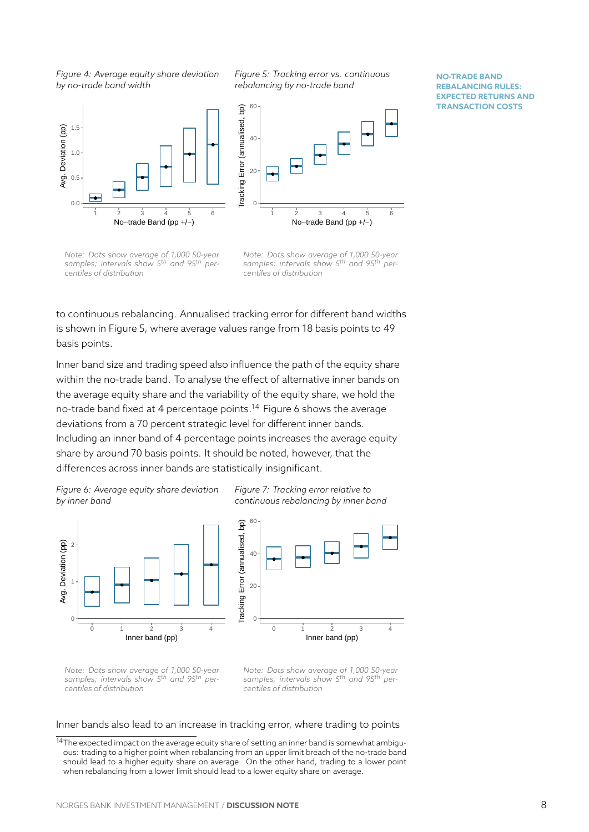*Figure 4: Average equity share deviation by no-trade band width*

*Figure 5: Tracking error vs. continuous rebalancing by no-trade band*

**NO-TRADE BAND REBALANCING RULES: EXPECTED RETURNS AND TRANSACTION COSTS**

<span id="page-8-0"></span>

*Note: Dots show average of 1,000 50-year samples; intervals show 5th and 95th percentiles of distribution*

*Note: Dots show average of 1,000 50-year samples; intervals show 5th and 95th percentiles of distribution*

to continuous rebalancing. Annualised tracking error for different band widths is shown in Figure 5, where average values range from 18 basis points to 49 basis points.

Inner band size and trading speed also influence the path of the equity share within the no-trad[e](#page-8-0) band. To analyse the effect of alternative inner bands on the average equity share and the variability of the equity share, we hold the no-trade band fixed at 4 percentage points.<sup>14</sup> Figure 6 shows the average deviations from a 70 percent strategic level for different inner bands. Including an inner band of 4 percentage points increases the average equity share by around 70 basis points. It should [be](#page-8-1) noted, [ho](#page-8-2)wever, that the differences across inner bands are statistically insignificant.

*Figure 6: Average equity share deviation by inner band*

*Figure 7: Tracking error relative to continuous rebalancing by inner band*

<span id="page-8-2"></span>



*Note: Dots show average of 1,000 50-year samples; intervals show 5th and 95th percentiles of distribution*

*Note: Dots show average of 1,000 50-year samples; intervals show 5th and 95th percentiles of distribution*

Inner bands also lead to an increase in tracking error, where trading to points

<span id="page-8-1"></span> $^{14}$ The expected impact on the average equity share of setting an inner band is somewhat ambiguous: trading to a higher point when rebalancing from an upper limit breach of the no-trade band should lead to a higher equity share on average. On the other hand, trading to a lower point when rebalancing from a lower limit should lead to a lower equity share on average.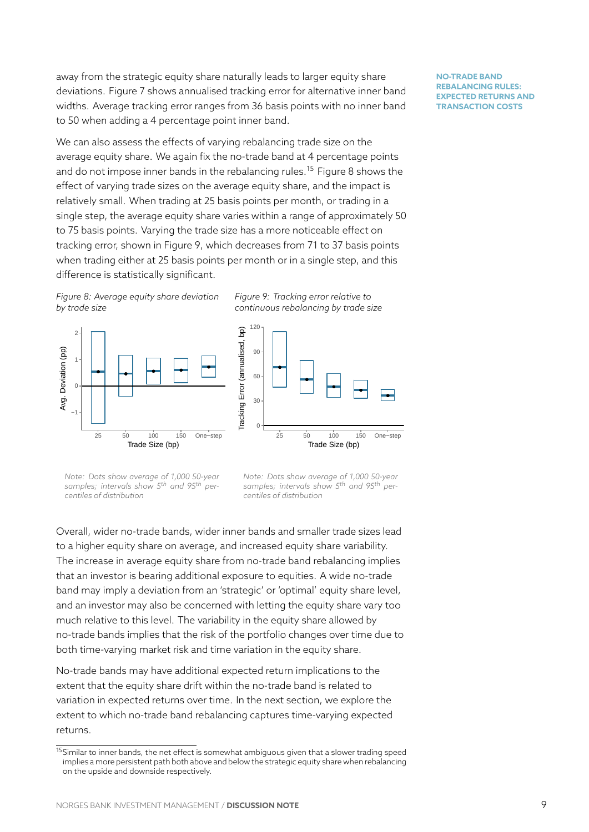away from the strategic equity share naturally leads to larger equity share deviations. Figure 7 shows annualised tracking error for alternative inner band widths. Average tracking error ranges from 36 basis points with no inner band to 50 when adding a 4 percentage point inner band.

We can also asses[s t](#page-8-2)he effects of varying rebalancing trade size on the average equity share. We again fix the no-trade band at 4 percentage points and do not impose inner bands in the rebalancing rules.<sup>15</sup> Figure 8 shows the effect of varying trade sizes on the average equity share, and the impact is relatively small. When trading at 25 basis points per month, or trading in a single step, the average equity share varies within a ran[ge](#page-9-0) of app[ro](#page-9-1)ximately 50 to 75 basis points. Varying the trade size has a more noticeable effect on tracking error, shown in Figure 9, which decreases from 71 to 37 basis points when trading either at 25 basis points per month or in a single step, and this difference is statistically significant.

*Figure 8: Average equity share de[via](#page-9-1)tion by trade size*

<span id="page-9-1"></span>





*Note: Dots show average of 1,000 50-year samples; intervals show 5th and 95th percentiles of distribution*

*Note: Dots show average of 1,000 50-year samples; intervals show 5th and 95th percentiles of distribution*

Overall, wider no-trade bands, wider inner bands and smaller trade sizes lead to a higher equity share on average, and increased equity share variability. The increase in average equity share from no-trade band rebalancing implies that an investor is bearing additional exposure to equities. A wide no-trade band may imply a deviation from an 'strategic' or 'optimal' equity share level, and an investor may also be concerned with letting the equity share vary too much relative to this level. The variability in the equity share allowed by no-trade bands implies that the risk of the portfolio changes over time due to both time-varying market risk and time variation in the equity share.

No-trade bands may have additional expected return implications to the extent that the equity share drift within the no-trade band is related to variation in expected returns over time. In the next section, we explore the extent to which no-trade band rebalancing captures time-varying expected returns.

<span id="page-9-0"></span><sup>15</sup>Similar to inner bands, the net effect is somewhat ambiguous given that a slower trading speed implies a more persistent path both above and below the strategic equity share when rebalancing on the upside and downside respectively.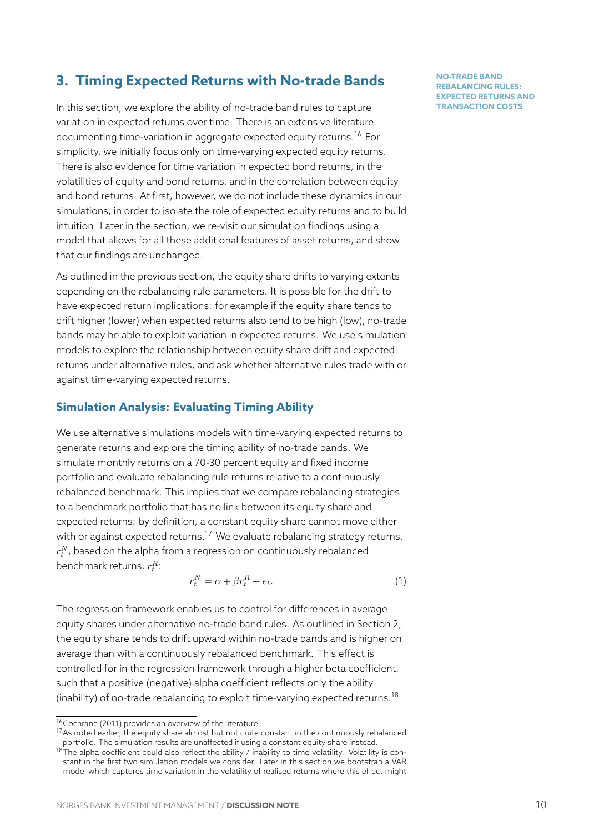# **3. Timing Expected Returns with No-trade Bands**

<span id="page-10-0"></span>In this section, we explore the ability of no-trade band rules to capture variation in expected returns over time. There is an extensive literature documenting time-variation in aggregate expected equity returns.<sup>16</sup> For simplicity, we initially focus only on time-varying expected equity returns. There is also evidence for time variation in expected bond returns, in the volatilities of equity and bond returns, and in the correlation betw[een](#page-10-1) equity and bond returns. At first, however, we do not include these dynamics in our simulations, in order to isolate the role of expected equity returns and to build intuition. Later in the section, we re-visit our simulation findings using a model that allows for all these additional features of asset returns, and show that our findings are unchanged.

As outlined in the previous section, the equity share drifts to varying extents depending on the rebalancing rule parameters. It is possible for the drift to have expected return implications: for example if the equity share tends to drift higher (lower) when expected returns also tend to be high (low), no-trade bands may be able to exploit variation in expected returns. We use simulation models to explore the relationship between equity share drift and expected returns under alternative rules, and ask whether alternative rules trade with or against time-varying expected returns.

# **Simulation Analysis: Evaluating Timing Ability**

We use alternative simulations models with time-varying expected returns to generate returns and explore the timing ability of no-trade bands. We simulate monthly returns on a 70-30 percent equity and fixed income portfolio and evaluate rebalancing rule returns relative to a continuously rebalanced benchmark. This implies that we compare rebalancing strategies to a benchmark portfolio that has no link between its equity share and expected returns: by definition, a constant equity share cannot move either with or against expected returns.<sup>17</sup> We evaluate rebalancing strategy returns,  $r_{t}^{N}$ , based on the alpha from a regression on continuously rebalanced benchmark returns, *r R t* :

$$
r_t^N = \alpha + \beta r_t^R + e_t. \tag{1}
$$

The regression framework enables us to control for differences in average equity shares under alternative no-trade band rules. As outlined in Section 2, the equity share tends to drift upward within no-trade bands and is higher on average than with a continuously rebalanced benchmark. This effect is controlled for in the regression framework through a higher beta coefficien[t,](#page-6-0) such that a positive (negative) alpha coefficient reflects only the ability (inability) of no-trade rebalancing to exploit time-varying expected returns.<sup>18</sup>

<sup>16</sup>Cochrane (2011) provides an overview of the literature.

 $17$ As noted earlier, the equity share almost but not quite constant in the continuously rebalanced portfolio. The simulation results are unaffected if using a constant equity share instead.

<span id="page-10-2"></span><span id="page-10-1"></span> $18$ The alpha coefficient could also reflect the ability / inability to time volatility. Volatility is constant in the first two simulation models we consider. Later in this section we bootstrap a VAR model which captures time variation in the volatility of realised returns where this effect might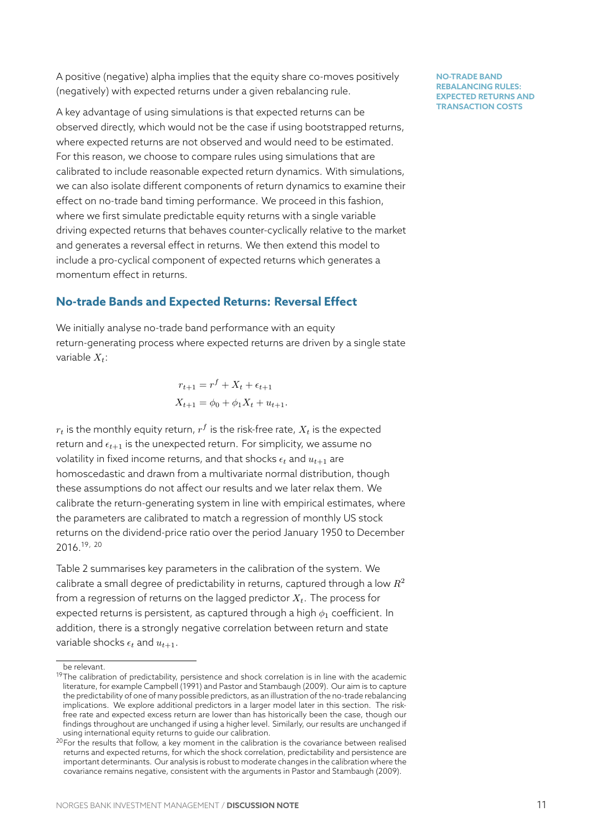A positive (negative) alpha implies that the equity share co-moves positively (negatively) with expected returns under a given rebalancing rule.

A key advantage of using simulations is that expected returns can be observed directly, which would not be the case if using bootstrapped returns, where expected returns are not observed and would need to be estimated. For this reason, we choose to compare rules using simulations that are calibrated to include reasonable expected return dynamics. With simulations, we can also isolate different components of return dynamics to examine their effect on no-trade band timing performance. We proceed in this fashion, where we first simulate predictable equity returns with a single variable driving expected returns that behaves counter-cyclically relative to the market and generates a reversal effect in returns. We then extend this model to include a pro-cyclical component of expected returns which generates a momentum effect in returns.

### **No-trade Bands and Expected Returns: Reversal Effect**

We initially analyse no-trade band performance with an equity return-generating process where expected returns are driven by a single state variable *Xt*:

$$
r_{t+1} = r^f + X_t + \epsilon_{t+1}
$$
  

$$
X_{t+1} = \phi_0 + \phi_1 X_t + u_{t+1}.
$$

 $r_t$  is the monthly equity return,  $r^f$  is the risk-free rate,  $X_t$  is the expected return and  $\epsilon_{t+1}$  is the unexpected return. For simplicity, we assume no volatility in fixed income returns, and that shocks  $\epsilon_t$  and  $u_{t+1}$  are homoscedastic and drawn from a multivariate normal distribution, though these assumptions do not affect our results and we later relax them. We calibrate the return-generating system in line with empirical estimates, where the parameters are calibrated to match a regression of monthly US stock returns on the dividend-price ratio over the period January 1950 to December 2016.19, <sup>20</sup>

Table 2 summarises key parameters in the calibration of the system. We calibrate a small degree of predictability in returns, captured through a low *R*<sup>2</sup> from [a](#page-11-0)[r](#page-11-0)[eg](#page-11-1)ression of returns on the lagged predictor *Xt*. The process for expe[cte](#page-12-0)d returns is persistent, as captured through a high *ϕ*<sup>1</sup> coefficient. In addition, there is a strongly negative correlation between return and state variable shocks  $\epsilon_t$  and  $u_{t+1}$ .

be relevant.

 $19$ The calibration of predictability, persistence and shock correlation is in line with the academic literature, for example Campbell (1991) and Pastor and Stambaugh (2009). Our aim is to capture the predictability of one of many possible predictors, as an illustration of the no-trade rebalancing implications. We explore additional predictors in a larger model later in this section. The riskfree rate and expected excess return are lower than has historically been the case, though our findings throughout are unchanged if using a higher level. Similarly, our results are unchanged if using international equity returns to guide our calibration.

<span id="page-11-1"></span><span id="page-11-0"></span> $20$  For the results that follow, a key moment in the calibration is the covariance between realised returns and expected returns, for which the shock correlation, predictability and persistence are important determinants. Our analysis is robust to moderate changes in the calibration where the covariance remains negative, consistent with the arguments in Pastor and Stambaugh (2009).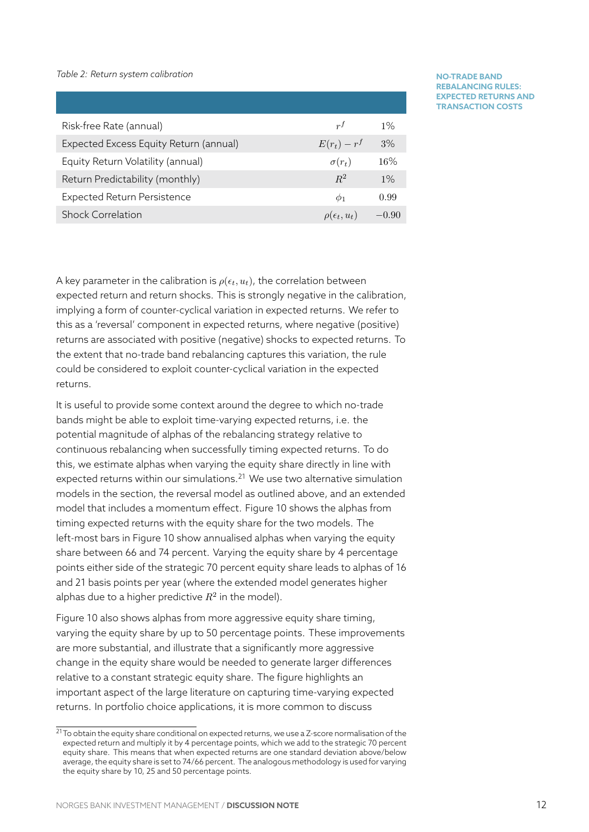#### *Table 2: Return system calibration*

<span id="page-12-0"></span>

| Risk-free Rate (annual)                | r <sup>f</sup>          | $1\%$   |
|----------------------------------------|-------------------------|---------|
| Expected Excess Equity Return (annual) | $E(r_t) - r^f$          | 3%      |
| Equity Return Volatility (annual)      | $\sigma(r_t)$           | 16%     |
| Return Predictability (monthly)        | $R^2$                   | $1\%$   |
| <b>Expected Return Persistence</b>     | $\varphi_1$             | 0.99    |
| <b>Shock Correlation</b>               | $\rho(\epsilon_t, u_t)$ | $-0.90$ |

#### **NO-TRADE BAND REBALANCING RULES: EXPECTED RETURNS AND TRANSACTION COSTS**

A key parameter in the calibration is  $\rho(\epsilon_t, u_t)$ , the correlation between expected return and return shocks. This is strongly negative in the calibration, implying a form of counter-cyclical variation in expected returns. We refer to this as a 'reversal' component in expected returns, where negative (positive) returns are associated with positive (negative) shocks to expected returns. To the extent that no-trade band rebalancing captures this variation, the rule could be considered to exploit counter-cyclical variation in the expected returns.

It is useful to provide some context around the degree to which no-trade bands might be able to exploit time-varying expected returns, i.e. the potential magnitude of alphas of the rebalancing strategy relative to continuous rebalancing when successfully timing expected returns. To do this, we estimate alphas when varying the equity share directly in line with expected returns within our simulations. $21$  We use two alternative simulation models in the section, the reversal model as outlined above, and an extended model that includes a momentum effect. Figure 10 shows the alphas from timing expected returns with the equity [sh](#page-12-1)are for the two models. The left-most bars in Figure 10 show annualised alphas when varying the equity share between 66 and 74 percent. Varying the e[quit](#page-13-0)y share by 4 percentage points either side of the strategic 70 percent equity share leads to alphas of 16 and 21 basis points per [yea](#page-13-0)r (where the extended model generates higher alphas due to a higher predictive  $R^2$  in the model).

Figure 10 also shows alphas from more aggressive equity share timing, varying the equity share by up to 50 percentage points. These improvements are more substantial, and illustrate that a significantly more aggressive chang[e in](#page-13-0) the equity share would be needed to generate larger differences relative to a constant strategic equity share. The figure highlights an important aspect of the large literature on capturing time-varying expected returns. In portfolio choice applications, it is more common to discuss

<span id="page-12-1"></span> $^{21}$ To obtain the equity share conditional on expected returns, we use a Z-score normalisation of the expected return and multiply it by 4 percentage points, which we add to the strategic 70 percent equity share. This means that when expected returns are one standard deviation above/below average, the equity share is set to 74/66 percent. The analogous methodology is used for varying the equity share by 10, 25 and 50 percentage points.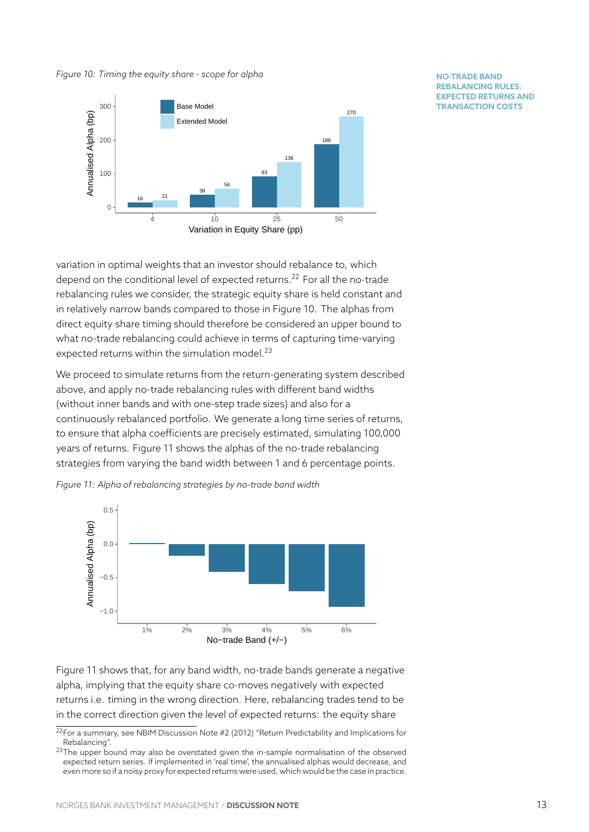#### *Figure 10: Timing the equity share - scope for alpha*

<span id="page-13-0"></span>

#### **NO-TRADE BAND REBALANCING RULES: EXPECTED RETURNS AND TRANSACTION COSTS**

variation in optimal weights that an investor should rebalance to, which depend on the conditional level of expected returns.<sup>22</sup> For all the no-trade rebalancing rules we consider, the strategic equity share is held constant and in relatively narrow bands compared to those in Figure 10. The alphas from direct equity share timing should therefore be consi[de](#page-13-1)red an upper bound to what no-trade rebalancing could achieve in terms of capturing time-varying expected returns within the simulation model.<sup>23</sup>

We proceed to simulate returns from the return-generating system described above, and apply no-trade rebalancing rules with different band widths (without inner bands and with one-step trade [siz](#page-13-2)es) and also for a continuously rebalanced portfolio. We generate a long time series of returns, to ensure that alpha coefficients are precisely estimated, simulating 100,000 years of returns. Figure 11 shows the alphas of the no-trade rebalancing strategies from varying the band width between 1 and 6 percentage points.



<span id="page-13-3"></span>

Figure 11 shows that, for any band width, no-trade bands generate a negative alpha, implying that the equity share co-moves negatively with expected returns i.e. timing in the wrong direction. Here, rebalancing trades tend to be in the [cor](#page-13-3)rect direction given the level of expected returns: the equity share

 $22$ For a summary, see NBIM Discussion Note #2 (2012) "Return Predictability and Implications for Rebalancing".

<span id="page-13-2"></span><span id="page-13-1"></span> $23$ The upper bound may also be overstated given the in-sample normalisation of the observed expected return series. If implemented in 'real time', the annualised alphas would decrease, and even more so if a noisy proxy for expected returns were used, which would be the case in practice.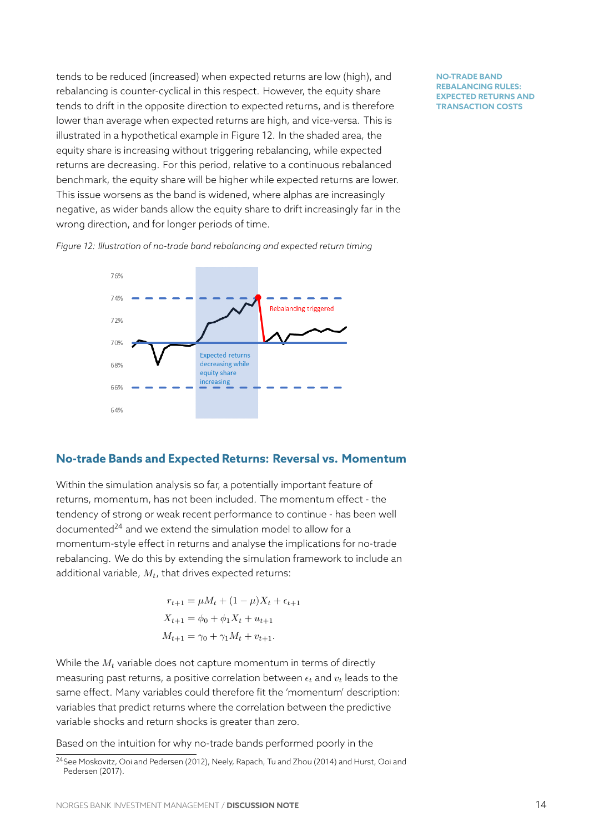tends to be reduced (increased) when expected returns are low (high), and rebalancing is counter-cyclical in this respect. However, the equity share tends to drift in the opposite direction to expected returns, and is therefore lower than average when expected returns are high, and vice-versa. This is illustrated in a hypothetical example in Figure 12. In the shaded area, the equity share is increasing without triggering rebalancing, while expected returns are decreasing. For this period, relative to a continuous rebalanced benchmark, the equity share will be higher w[hile](#page-14-0) expected returns are lower. This issue worsens as the band is widened, where alphas are increasingly negative, as wider bands allow the equity share to drift increasingly far in the wrong direction, and for longer periods of time.

**NO-TRADE BAND REBALANCING RULES: EXPECTED RETURNS AND TRANSACTION COSTS**

<span id="page-14-0"></span>



#### **No-trade Bands and Expected Returns: Reversal vs. Momentum**

Within the simulation analysis so far, a potentially important feature of returns, momentum, has not been included. The momentum effect - the tendency of strong or weak recent performance to continue - has been well documented<sup>24</sup> and we extend the simulation model to allow for a momentum-style effect in returns and analyse the implications for no-trade rebalancing. We do this by extending the simulation framework to include an additional va[ria](#page-14-1)ble, *Mt*, that drives expected returns:

$$
r_{t+1} = \mu M_t + (1 - \mu)X_t + \epsilon_{t+1}
$$
  

$$
X_{t+1} = \phi_0 + \phi_1 X_t + u_{t+1}
$$
  

$$
M_{t+1} = \gamma_0 + \gamma_1 M_t + v_{t+1}.
$$

While the *M<sup>t</sup>* variable does not capture momentum in terms of directly measuring past returns, a positive correlation between  $\epsilon_t$  and  $v_t$  leads to the same effect. Many variables could therefore fit the 'momentum' description: variables that predict returns where the correlation between the predictive variable shocks and return shocks is greater than zero.

Based on the intuition for why no-trade bands performed poorly in the

<span id="page-14-1"></span><sup>24</sup>See Moskovitz, Ooi and Pedersen (2012), Neely, Rapach, Tu and Zhou (2014) and Hurst, Ooi and Pedersen (2017).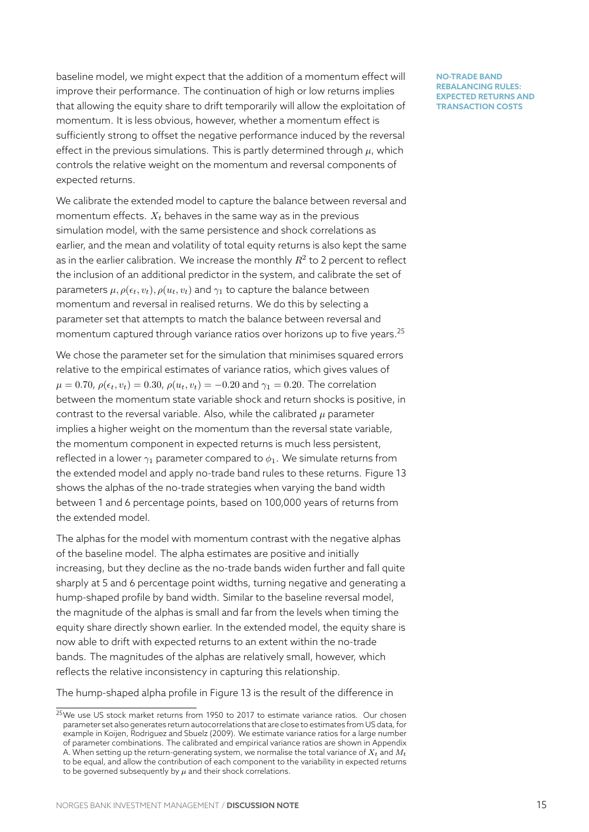baseline model, we might expect that the addition of a momentum effect will improve their performance. The continuation of high or low returns implies that allowing the equity share to drift temporarily will allow the exploitation of momentum. It is less obvious, however, whether a momentum effect is sufficiently strong to offset the negative performance induced by the reversal effect in the previous simulations. This is partly determined through  $\mu$ , which controls the relative weight on the momentum and reversal components of expected returns.

We calibrate the extended model to capture the balance between reversal and momentum effects.  $X_t$  behaves in the same way as in the previous simulation model, with the same persistence and shock correlations as earlier, and the mean and volatility of total equity returns is also kept the same as in the earlier calibration. We increase the monthly  $R^2$  to 2 percent to reflect the inclusion of an additional predictor in the system, and calibrate the set of parameters  $\mu$ ,  $\rho(\epsilon_t, v_t)$ ,  $\rho(u_t, v_t)$  and  $\gamma_1$  to capture the balance between momentum and reversal in realised returns. We do this by selecting a parameter set that attempts to match the balance between reversal and momentum captured through variance ratios over horizons up to five years.<sup>25</sup>

We chose the parameter set for the simulation that minimises squared errors relative to the empirical estimates of variance ratios, which gives values of  $\mu = 0.70$ ,  $\rho(\epsilon_t, v_t) = 0.30$ ,  $\rho(u_t, v_t) = -0.20$  and  $\gamma_1 = 0.20$ . The correlation between the momentum state variable shock and return shocks is positive, in contrast to the reversal variable. Also, while the calibrated *µ* parameter implies a higher weight on the momentum than the reversal state variable, the momentum component in expected returns is much less persistent, reflected in a lower  $\gamma_1$  parameter compared to  $\phi_1$ . We simulate returns from the extended model and apply no-trade band rules to these returns. Figure 13 shows the alphas of the no-trade strategies when varying the band width between 1 and 6 percentage points, based on 100,000 years of returns from the extended model.

The alphas for the model with momentum contrast with the negative alphas of the baseline model. The alpha estimates are positive and initially increasing, but they decline as the no-trade bands widen further and fall quite sharply at 5 and 6 percentage point widths, turning negative and generating a hump-shaped profile by band width. Similar to the baseline reversal model, the magnitude of the alphas is small and far from the levels when timing the equity share directly shown earlier. In the extended model, the equity share is now able to drift with expected returns to an extent within the no-trade bands. The magnitudes of the alphas are relatively small, however, which reflects the relative inconsistency in capturing this relationship.

The hump-shaped alpha profile in Figure 13 is the result of the difference in

<sup>&</sup>lt;sup>25</sup>We use US stock market returns from 1950 to 2017 to estimate variance ratios. Our chosen parameter set also generates return autocorrelations that are close to estimates from US data, for example in Koijen, Rodriguez and Sbuelz (2009). We estimate variance ratios for a large number of parameter combinations. The calibrated and e[mp](#page-16-0)irical variance ratios are shown in Appendix A. When setting up the return-generating system, we normalise the total variance of *X<sup>t</sup>* and *M<sup>t</sup>* to be equal, and allow the contribution of each component to the variability in expected returns to be governed subsequently by  $\mu$  and their shock correlations.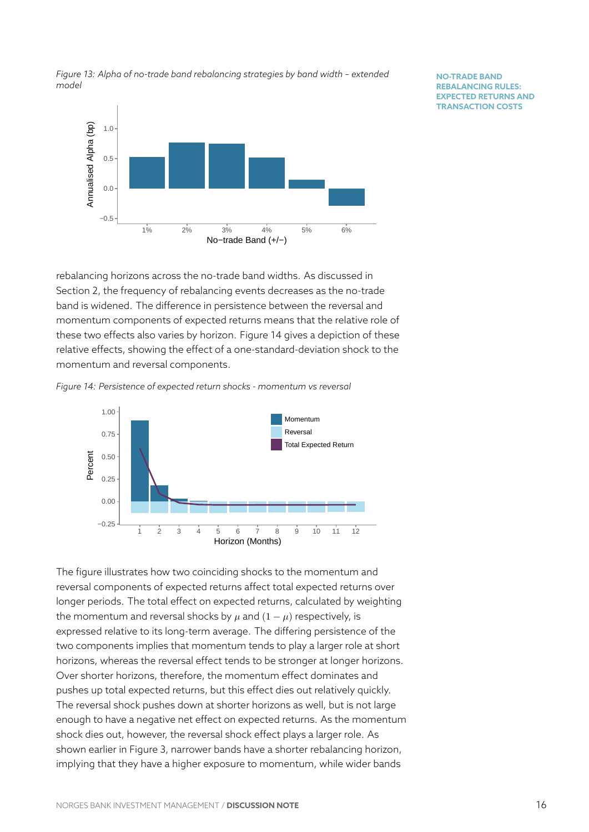<span id="page-16-0"></span>

*Figure 13: Alpha of no-trade band rebalancing strategies by band width – extended model*

**NO-TRADE BAND REBALANCING RULES: EXPECTED RETURNS AND TRANSACTION COSTS**

rebalancing horizons across the no-trade band widths. As discussed in Section 2, the frequency of rebalancing events decreases as the no-trade band is widened. The difference in persistence between the reversal and momentum components of expected returns means that the relative role of these t[wo](#page-6-0) effects also varies by horizon. Figure 14 gives a depiction of these relative effects, showing the effect of a one-standard-deviation shock to the momentum and reversal components.



<span id="page-16-1"></span>

The figure illustrates how two coinciding shocks to the momentum and reversal components of expected returns affect total expected returns over longer periods. The total effect on expected returns, calculated by weighting the momentum and reversal shocks by  $\mu$  and  $(1 - \mu)$  respectively, is expressed relative to its long-term average. The differing persistence of the two components implies that momentum tends to play a larger role at short horizons, whereas the reversal effect tends to be stronger at longer horizons. Over shorter horizons, therefore, the momentum effect dominates and pushes up total expected returns, but this effect dies out relatively quickly. The reversal shock pushes down at shorter horizons as well, but is not large enough to have a negative net effect on expected returns. As the momentum shock dies out, however, the reversal shock effect plays a larger role. As shown earlier in Figure 3, narrower bands have a shorter rebalancing horizon, implying that they have a higher exposure to momentum, while wider bands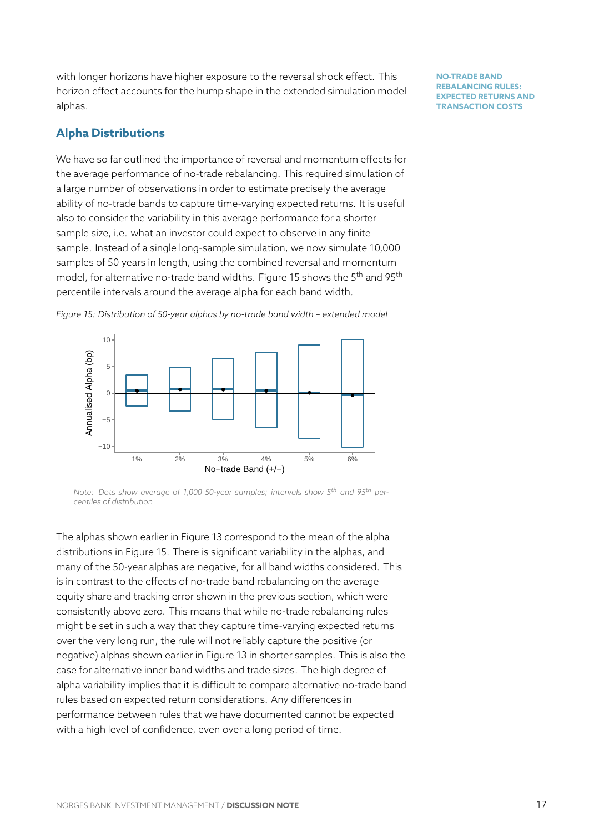with longer horizons have higher exposure to the reversal shock effect. This horizon effect accounts for the hump shape in the extended simulation model alphas.

# **Alpha Distributions**

We have so far outlined the importance of reversal and momentum effects for the average performance of no-trade rebalancing. This required simulation of a large number of observations in order to estimate precisely the average ability of no-trade bands to capture time-varying expected returns. It is useful also to consider the variability in this average performance for a shorter sample size, i.e. what an investor could expect to observe in any finite sample. Instead of a single long-sample simulation, we now simulate 10,000 samples of 50 years in length, using the combined reversal and momentum model, for alternative no-trade band widths. Figure 15 shows the 5<sup>th</sup> and 95<sup>th</sup> percentile intervals around the average alpha for each band width.



<span id="page-17-0"></span>

*Note: Dots show average of 1,000 50-year samples; intervals show 5th and 95th percentiles of distribution*

The alphas shown earlier in Figure 13 correspond to the mean of the alpha distributions in Figure 15. There is significant variability in the alphas, and many of the 50-year alphas are negative, for all band widths considered. This is in contrast to the effects of no-t[rad](#page-16-0)e band rebalancing on the average equity share and track[ing](#page-17-0) error shown in the previous section, which were consistently above zero. This means that while no-trade rebalancing rules might be set in such a way that they capture time-varying expected returns over the very long run, the rule will not reliably capture the positive (or negative) alphas shown earlier in Figure 13 in shorter samples. This is also the case for alternative inner band widths and trade sizes. The high degree of alpha variability implies that it is difficult to compare alternative no-trade band rules based on expected return conside[rati](#page-16-0)ons. Any differences in performance between rules that we have documented cannot be expected with a high level of confidence, even over a long period of time.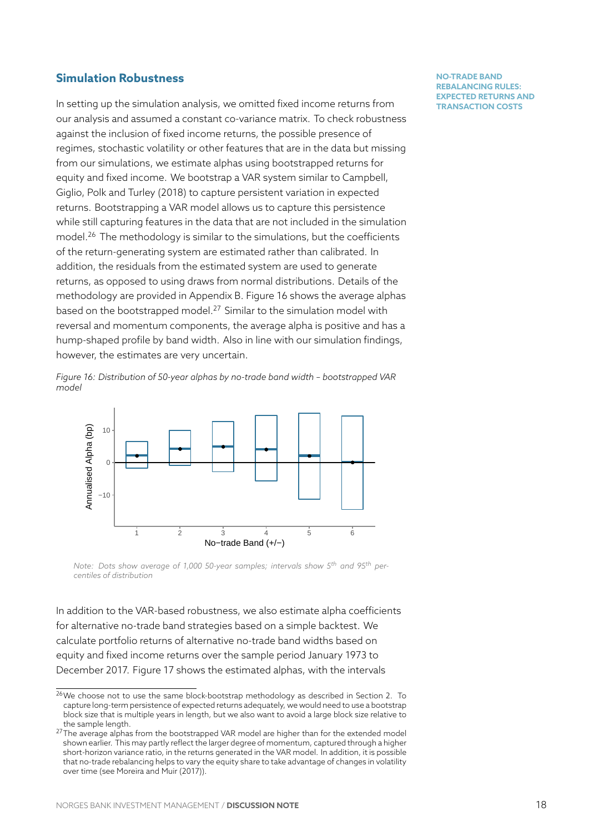## **Simulation Robustness**

In setting up the simulation analysis, we omitted fixed income returns from our analysis and assumed a constant co-variance matrix. To check robustness against the inclusion of fixed income returns, the possible presence of regimes, stochastic volatility or other features that are in the data but missing from our simulations, we estimate alphas using bootstrapped returns for equity and fixed income. We bootstrap a VAR system similar to Campbell, Giglio, Polk and Turley (2018) to capture persistent variation in expected returns. Bootstrapping a VAR model allows us to capture this persistence while still capturing features in the data that are not included in the simulation model.<sup>26</sup> The methodology is similar to the simulations, but the coefficients of the return-generating system are estimated rather than calibrated. In addition, the residuals from the estimated system are used to generate return[s, a](#page-18-0)s opposed to using draws from normal distributions. Details of the methodology are provided in Appendix B. Figure 16 shows the average alphas based on the bootstrapped model.<sup>27</sup> Similar to the simulation model with reversal and momentum components, the average alpha is positive and has a hump-shaped profile by band width. Also in line [wit](#page-18-1)h our simulation findings, however, the estimates are very u[nce](#page-18-2)rtain.

*Figure 16: Distribution of 50-year alphas by no-trade band width – bootstrapped VAR model*

<span id="page-18-1"></span>

*Note: Dots show average of 1,000 50-year samples; intervals show 5th and 95th percentiles of distribution*

In addition to the VAR-based robustness, we also estimate alpha coefficients for alternative no-trade band strategies based on a simple backtest. We calculate portfolio returns of alternative no-trade band widths based on equity and fixed income returns over the sample period January 1973 to December 2017. Figure 17 shows the estimated alphas, with the intervals

<sup>&</sup>lt;sup>26</sup>We choose not to use the same block-bootstrap methodology as described in Section 2. To capture long-term persistence of expected returns adequately, we would need to use a bootstrap block size that is multiple y[ears](#page-19-1) in length, but we also want to avoid a large block size relative to the sample length.

<span id="page-18-2"></span><span id="page-18-0"></span> $27$ The average alphas from the bootstrapped VAR model are higher than for the extended model shown earlier. This may partly reflect the larger degree of momentum, captured through a higher short-horizon variance ratio, in the returns generated in the VAR model. In addition, it is possible that no-trade rebalancing helps to vary the equity share to take advantage of changes in volatility over time (see Moreira and Muir (2017)).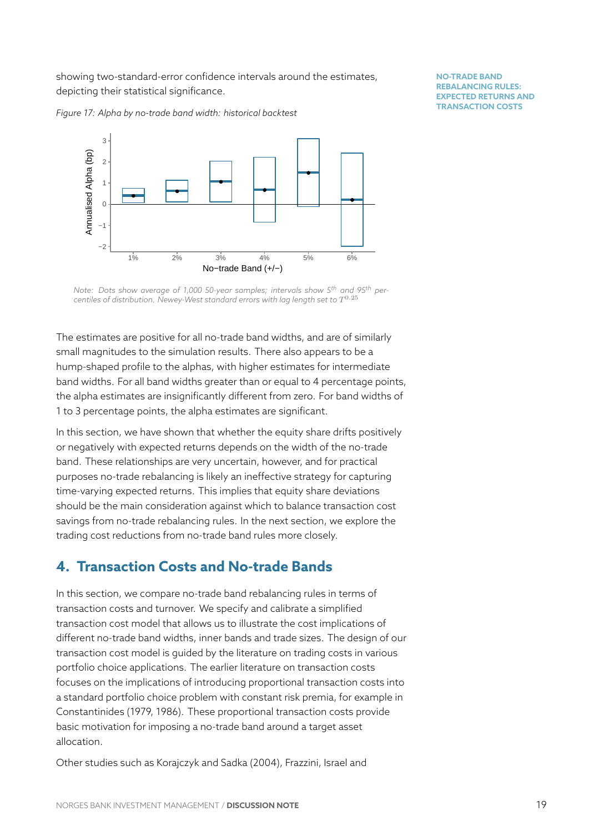showing two-standard-error confidence intervals around the estimates, depicting their statistical significance.

<span id="page-19-1"></span>*Figure 17: Alpha by no-trade band width: historical backtest*



**NO-TRADE BAND REBALANCING RULES: EXPECTED RETURNS AND TRANSACTION COSTS**

*Note: Dots show average of 1,000 50-year samples; intervals show 5th and 95th per*centiles of distribution. Newey-West standard errors with lag length set to  $T^{0.25}$ 

The estimates are positive for all no-trade band widths, and are of similarly small magnitudes to the simulation results. There also appears to be a hump-shaped profile to the alphas, with higher estimates for intermediate band widths. For all band widths greater than or equal to 4 percentage points, the alpha estimates are insignificantly different from zero. For band widths of 1 to 3 percentage points, the alpha estimates are significant.

In this section, we have shown that whether the equity share drifts positively or negatively with expected returns depends on the width of the no-trade band. These relationships are very uncertain, however, and for practical purposes no-trade rebalancing is likely an ineffective strategy for capturing time-varying expected returns. This implies that equity share deviations should be the main consideration against which to balance transaction cost savings from no-trade rebalancing rules. In the next section, we explore the trading cost reductions from no-trade band rules more closely.

# <span id="page-19-0"></span>**4. Transaction Costs and No-trade Bands**

In this section, we compare no-trade band rebalancing rules in terms of transaction costs and turnover. We specify and calibrate a simplified transaction cost model that allows us to illustrate the cost implications of different no-trade band widths, inner bands and trade sizes. The design of our transaction cost model is guided by the literature on trading costs in various portfolio choice applications. The earlier literature on transaction costs focuses on the implications of introducing proportional transaction costs into a standard portfolio choice problem with constant risk premia, for example in Constantinides (1979, 1986). These proportional transaction costs provide basic motivation for imposing a no-trade band around a target asset allocation.

Other studies such as Korajczyk and Sadka (2004), Frazzini, Israel and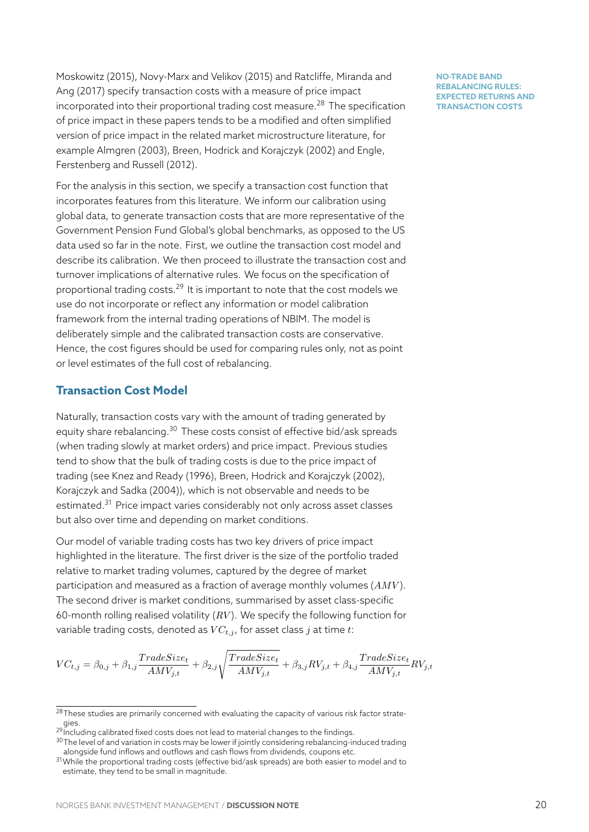Moskowitz (2015), Novy-Marx and Velikov (2015) and Ratcliffe, Miranda and Ang (2017) specify transaction costs with a measure of price impact incorporated into their proportional trading cost measure.<sup>28</sup> The specification of price impact in these papers tends to be a modified and often simplified version of price impact in the related market microstructure literature, for example Almgren (2003), Breen, Hodrick and Korajczyk (2[00](#page-20-0)2) and Engle, Ferstenberg and Russell (2012).

For the analysis in this section, we specify a transaction cost function that incorporates features from this literature. We inform our calibration using global data, to generate transaction costs that are more representative of the Government Pension Fund Global's global benchmarks, as opposed to the US data used so far in the note. First, we outline the transaction cost model and describe its calibration. We then proceed to illustrate the transaction cost and turnover implications of alternative rules. We focus on the specification of proportional trading costs. $^{29}$  It is important to note that the cost models we use do not incorporate or reflect any information or model calibration framework from the internal trading operations of NBIM. The model is deliberately simple and th[e c](#page-20-1)alibrated transaction costs are conservative. Hence, the cost figures should be used for comparing rules only, not as point or level estimates of the full cost of rebalancing.

### **Transaction Cost Model**

Naturally, transaction costs vary with the amount of trading generated by equity share rebalancing.<sup>30</sup> These costs consist of effective bid/ask spreads (when trading slowly at market orders) and price impact. Previous studies tend to show that the bulk of trading costs is due to the price impact of trading (see Knez and Re[ad](#page-20-2)y (1996), Breen, Hodrick and Korajczyk (2002), Korajczyk and Sadka (2004)), which is not observable and needs to be estimated.<sup>31</sup> Price impact varies considerably not only across asset classes but also over time and depending on market conditions.

Our model of variable trading costs has two key drivers of price impact highlighte[d in](#page-20-3) the literature. The first driver is the size of the portfolio traded relative to market trading volumes, captured by the degree of market participation and measured as a fraction of average monthly volumes (*AMV* ). The second driver is market conditions, summarised by asset class-specific 60-month rolling realised volatility (*RV* ). We specify the following function for variable trading costs, denoted as *V Ct,j* , for asset class *j* at time *t*:

$$
VC_{t,j} = \beta_{0,j} + \beta_{1,j} \frac{TradeSize_t}{AMV_{j,t}} + \beta_{2,j} \sqrt{\frac{TradeSize_t}{AMV_{j,t}}} + \beta_{3,j} RV_{j,t} + \beta_{4,j} \frac{TradeSize_t}{AMV_{j,t}} RV_{j,t}
$$

 $28$ These studies are primarily concerned with evaluating the capacity of various risk factor strategies.

<sup>&</sup>lt;sup>29</sup> Including calibrated fixed costs does not lead to material changes to the findings.

<sup>&</sup>lt;sup>30</sup>The level of and variation in costs may be lower if jointly considering rebalancing-induced trading alongside fund inflows and outflows and cash flows from dividends, coupons etc.

<span id="page-20-3"></span><span id="page-20-2"></span><span id="page-20-1"></span><span id="page-20-0"></span><sup>31</sup> While the proportional trading costs (effective bid/ask spreads) are both easier to model and to estimate, they tend to be small in magnitude.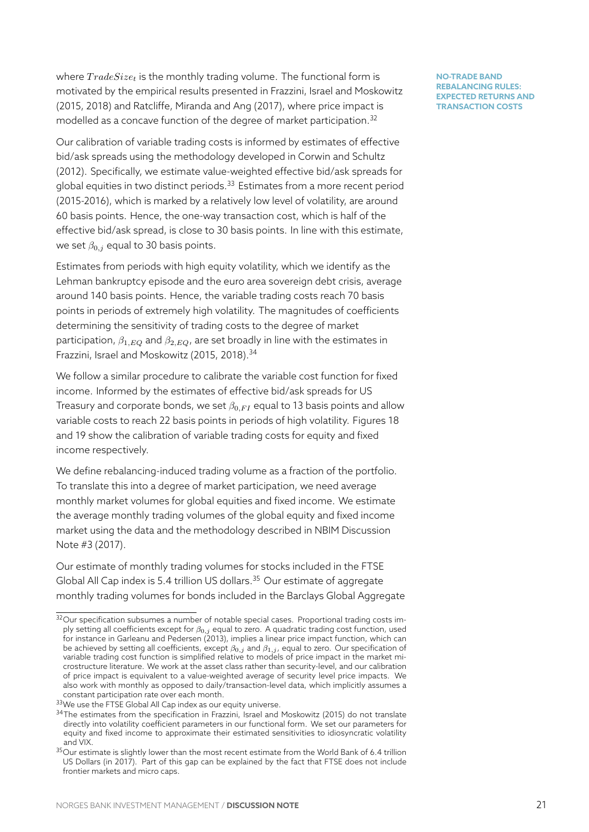where  $TradeSize_t$  is the monthly trading volume. The functional form is motivated by the empirical results presented in Frazzini, Israel and Moskowitz (2015, 2018) and Ratcliffe, Miranda and Ang (2017), where price impact is modelled as a concave function of the degree of market participation.<sup>32</sup>

Our calibration of variable trading costs is informed by estimates of effective bid/ask spreads using the methodology developed in Corwin and Schultz (2012). Specifically, we estimate value-weighted effective bid/ask spr[ead](#page-21-0)s for global equities in two distinct periods.<sup>33</sup> Estimates from a more recent period (2015-2016), which is marked by a relatively low level of volatility, are around 60 basis points. Hence, the one-way transaction cost, which is half of the effective bid/ask spread, is close to 3[0 b](#page-21-1)asis points. In line with this estimate, we set  $β_{0,j}$  equal to 30 basis points.

Estimates from periods with high equity volatility, which we identify as the Lehman bankruptcy episode and the euro area sovereign debt crisis, average around 140 basis points. Hence, the variable trading costs reach 70 basis points in periods of extremely high volatility. The magnitudes of coefficients determining the sensitivity of trading costs to the degree of market participation, *β*1*,EQ* and *β*2*,EQ*, are set broadly in line with the estimates in Frazzini, Israel and Moskowitz (2015, 2018).<sup>34</sup>

We follow a similar procedure to calibrate the variable cost function for fixed income. Informed by the estimates of effective bid/ask spreads for US Treasury and corporate bonds, we set *β*0*,F I* [e](#page-21-2)qual to 13 basis points and allow variable costs to reach 22 basis points in periods of high volatility. Figures 18 and 19 show the calibration of variable trading costs for equity and fixed income respectively.

We define rebalancing-induced trading volume as a fraction of the portfoli[o.](#page-22-0) Tot[ran](#page-22-0)slate this into a degree of market participation, we need average monthly market volumes for global equities and fixed income. We estimate the average monthly trading volumes of the global equity and fixed income market using the data and the methodology described in NBIM Discussion Note #3 (2017).

Our estimate of monthly trading volumes for stocks included in the FTSE Global All Cap index is 5.4 trillion US dollars. $35$  Our estimate of aggregate monthly trading volumes for bonds included in the Barclays Global Aggregate

<sup>&</sup>lt;sup>32</sup>Our specification subsumes a number of notable special cases. Proportional trading costs imply setting all coefficients except for *β*0*,j* equal to z[ero.](#page-21-3) A quadratic trading cost function, used for instance in Garleanu and Pedersen (2013), implies a linear price impact function, which can be achieved by setting all coefficients, except *β*0*,j* and *β*1*,j* , equal to zero. Our specification of variable trading cost function is simplified relative to models of price impact in the market microstructure literature. We work at the asset class rather than security-level, and our calibration of price impact is equivalent to a value-weighted average of security level price impacts. We also work with monthly as opposed to daily/transaction-level data, which implicitly assumes a constant participation rate over each month.

<span id="page-21-0"></span><sup>33</sup> We use the FTSE Global All Cap index as our equity universe.

<sup>&</sup>lt;sup>34</sup>The estimates from the specification in Frazzini, Israel and Moskowitz (2015) do not translate directly into volatility coefficient parameters in our functional form. We set our parameters for equity and fixed income to approximate their estimated sensitivities to idiosyncratic volatility and VIX.

<span id="page-21-3"></span><span id="page-21-2"></span><span id="page-21-1"></span> $35$ Our estimate is slightly lower than the most recent estimate from the World Bank of 6.4 trillion US Dollars (in 2017). Part of this gap can be explained by the fact that FTSE does not include frontier markets and micro caps.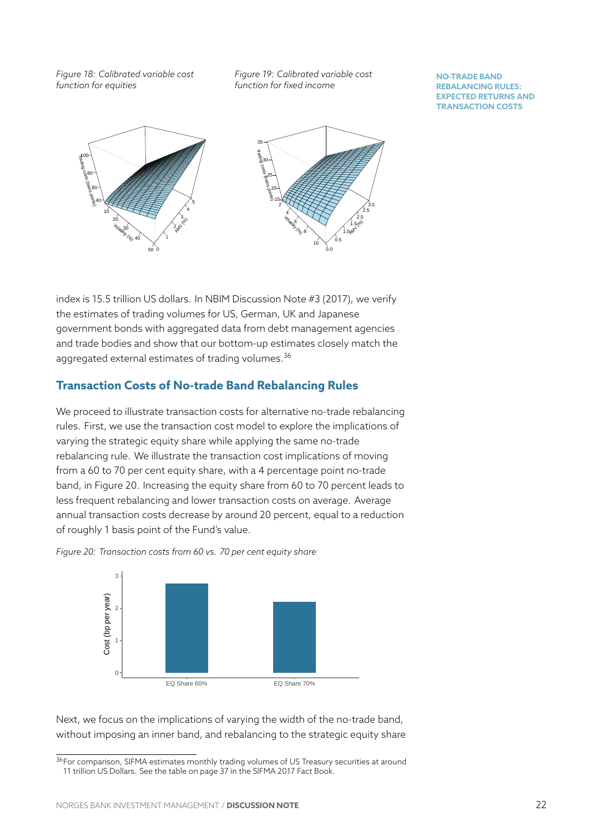*Figure 18: Calibrated variable cost function for equities*

*Figure 19: Calibrated variable cost function for fixed income*

#### **NO-TRADE BAND REBALANCING RULES: EXPECTED RETURNS AND TRANSACTION COSTS**

<span id="page-22-0"></span>

index is 15.5 trillion US dollars. In NBIM Discussion Note #3 (2017), we verify the estimates of trading volumes for US, German, UK and Japanese government bonds with aggregated data from debt management agencies and trade bodies and show that our bottom-up estimates closely match the aggregated external estimates of trading volumes.<sup>36</sup>

# **Transaction Costs of No-trade Band Rebalancing Rules**

We proceed to illustrate transaction costs for alter[na](#page-22-1)tive no-trade rebalancing rules. First, we use the transaction cost model to explore the implications of varying the strategic equity share while applying the same no-trade rebalancing rule. We illustrate the transaction cost implications of moving from a 60 to 70 per cent equity share, with a 4 percentage point no-trade band, in Figure 20. Increasing the equity share from 60 to 70 percent leads to less frequent rebalancing and lower transaction costs on average. Average annual transaction costs decrease by around 20 percent, equal to a reduction of roughly 1 ba[sis](#page-22-2) point of the Fund's value.



<span id="page-22-2"></span>

Next, we focus on the implications of varying the width of the no-trade band, without imposing an inner band, and rebalancing to the strategic equity share

<span id="page-22-1"></span><sup>36</sup> For comparison, SIFMA estimates monthly trading volumes of US Treasury securities at around 11 trillion US Dollars. See the table on page 37 in the SIFMA 2017 Fact Book.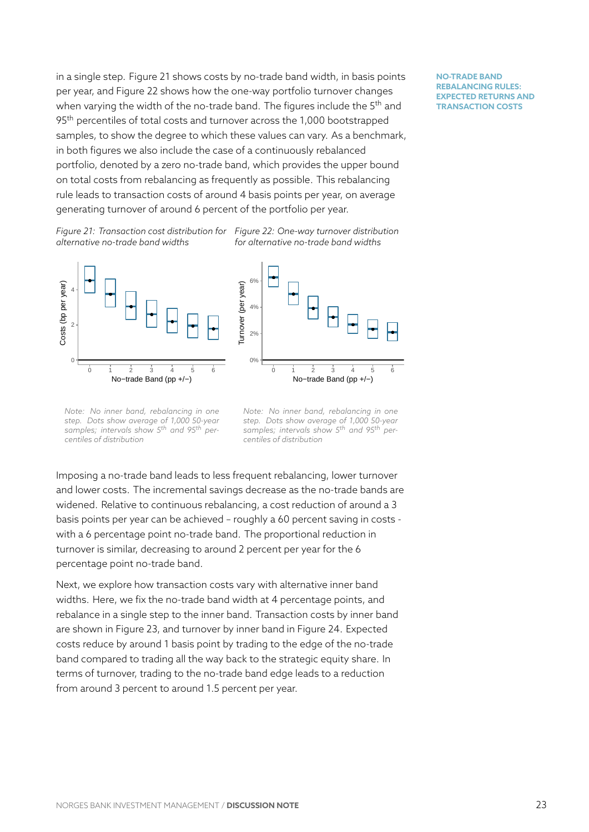in a single step. Figure 21 shows costs by no-trade band width, in basis points per year, and Figure 22 shows how the one-way portfolio turnover changes when varying the width of the no-trade band. The figures include the 5<sup>th</sup> and 95<sup>th</sup> percentiles of tota[l co](#page-23-0)sts and turnover across the 1,000 bootstrapped samples, to show th[e d](#page-23-0)egree to which these values can vary. As a benchmark, in both figures we also include the case of a continuously rebalanced portfolio, denoted by a zero no-trade band, which provides the upper bound on total costs from rebalancing as frequently as possible. This rebalancing rule leads to transaction costs of around 4 basis points per year, on average generating turnover of around 6 percent of the portfolio per year.

*Figure 21: Transaction cost distribution for Figure 22: One-way turnover distribution alternative no-trade band widths for alternative no-trade band widths*

<span id="page-23-0"></span>

*Note: No inner band, rebalancing in one step. Dots show average of 1,000 50-year samples; intervals show 5th and 95th percentiles of distribution*

*Note: No inner band, rebalancing in one step. Dots show average of 1,000 50-year samples; intervals show 5th and 95th percentiles of distribution*

Imposing a no-trade band leads to less frequent rebalancing, lower turnover and lower costs. The incremental savings decrease as the no-trade bands are widened. Relative to continuous rebalancing, a cost reduction of around a 3 basis points per year can be achieved – roughly a 60 percent saving in costs with a 6 percentage point no-trade band. The proportional reduction in turnover is similar, decreasing to around 2 percent per year for the 6 percentage point no-trade band.

Next, we explore how transaction costs vary with alternative inner band widths. Here, we fix the no-trade band width at 4 percentage points, and rebalance in a single step to the inner band. Transaction costs by inner band are shown in Figure 23, and turnover by inner band in Figure 24. Expected costs reduce by around 1 basis point by trading to the edge of the no-trade band compared to trading all the way back to the strategic equity share. In terms of turnover, t[rad](#page-24-0)ing to the no-trade band edge leads t[o a](#page-24-0) reduction from around 3 percent to around 1.5 percent per year.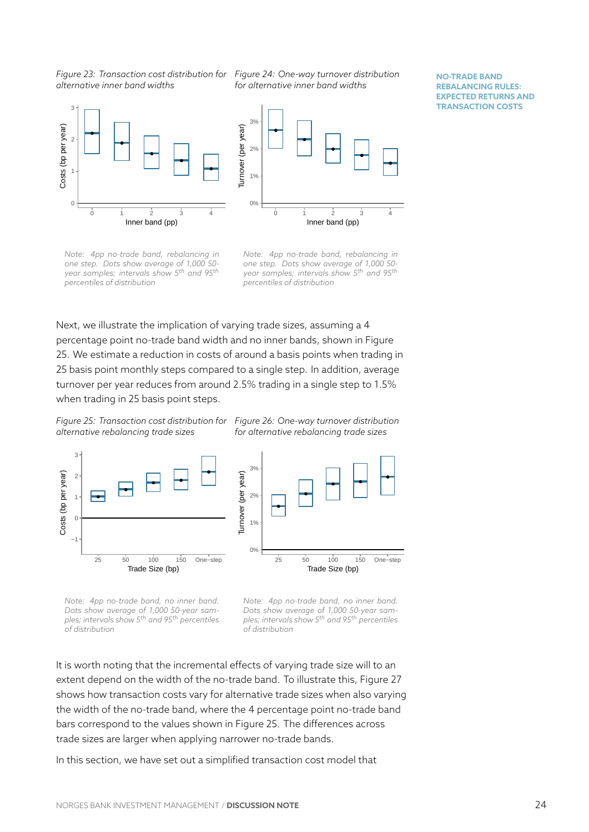*alternative inner band widths*

*Figure 23: Transaction cost distribution for Figure 24: One-way turnover distribution for alternative inner band widths*

**NO-TRADE BAND REBALANCING RULES: EXPECTED RETURNS AND TRANSACTION COSTS**

<span id="page-24-0"></span>

*Note: 4pp no-trade band, rebalancing in one step. Dots show average of 1,000 50 year samples; intervals show 5th and 95th percentiles of distribution*

*Note: 4pp no-trade band, rebalancing in one step. Dots show average of 1,000 50 year samples; intervals show 5th and 95th percentiles of distribution*

Next, we illustrate the implication of varying trade sizes, assuming a 4 percentage point no-trade band width and no inner bands, shown in Figure 25. We estimate a reduction in costs of around a basis points when trading in 25 basis point monthly steps compared to a single step. In addition, average turnover per year reduces from around 2.5% trading in a single step to 1.5% [wh](#page-24-1)en trading in 25 basis point steps.

*Figure 25: Transaction cost distribution for Figure 26: One-way turnover distribution alternative rebalancing trade sizes*

*for alternative rebalancing trade sizes*

<span id="page-24-1"></span>

*Note: 4pp no-trade band, no inner band. Dots show average of 1,000 50-year samples; intervals show 5th and 95th percentiles of distribution*

*Note: 4pp no-trade band, no inner band. Dots show average of 1,000 50-year samples; intervals show 5th and 95th percentiles of distribution*

It is worth noting that the incremental effects of varying trade size will to an extent depend on the width of the no-trade band. To illustrate this, Figure 27 shows how transaction costs vary for alternative trade sizes when also varying the width of the no-trade band, where the 4 percentage point no-trade band bars correspond to the values shown in Figure 25. The differences across trade sizes are larger when applying narrower no-trade bands.

In this section, we have set out a simplified transaction cost model that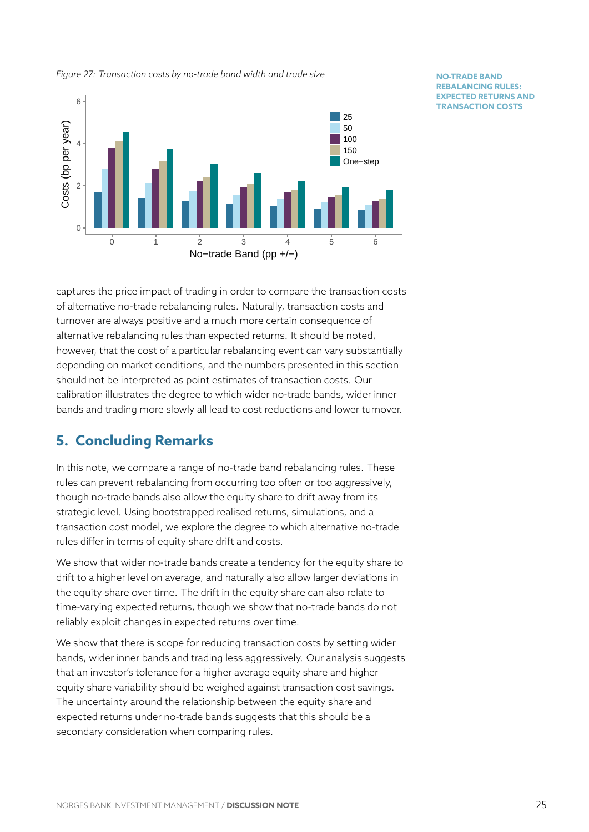

*Figure 27: Transaction costs by no-trade band width and trade size*

**NO-TRADE BAND REBALANCING RULES: EXPECTED RETURNS AND TRANSACTION COSTS**

captures the price impact of trading in order to compare the transaction costs of alternative no-trade rebalancing rules. Naturally, transaction costs and turnover are always positive and a much more certain consequence of alternative rebalancing rules than expected returns. It should be noted, however, that the cost of a particular rebalancing event can vary substantially depending on market conditions, and the numbers presented in this section should not be interpreted as point estimates of transaction costs. Our calibration illustrates the degree to which wider no-trade bands, wider inner bands and trading more slowly all lead to cost reductions and lower turnover.

# <span id="page-25-0"></span>**5. Concluding Remarks**

In this note, we compare a range of no-trade band rebalancing rules. These rules can prevent rebalancing from occurring too often or too aggressively, though no-trade bands also allow the equity share to drift away from its strategic level. Using bootstrapped realised returns, simulations, and a transaction cost model, we explore the degree to which alternative no-trade rules differ in terms of equity share drift and costs.

We show that wider no-trade bands create a tendency for the equity share to drift to a higher level on average, and naturally also allow larger deviations in the equity share over time. The drift in the equity share can also relate to time-varying expected returns, though we show that no-trade bands do not reliably exploit changes in expected returns over time.

We show that there is scope for reducing transaction costs by setting wider bands, wider inner bands and trading less aggressively. Our analysis suggests that an investor's tolerance for a higher average equity share and higher equity share variability should be weighed against transaction cost savings. The uncertainty around the relationship between the equity share and expected returns under no-trade bands suggests that this should be a secondary consideration when comparing rules.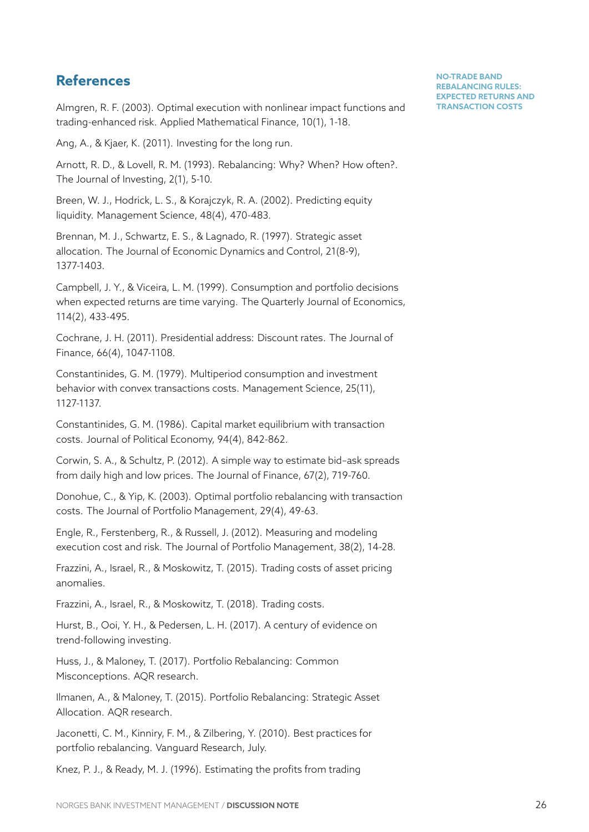# **References**

Almgren, R. F. (2003). Optimal execution with nonlinear impact functions and trading-enhanced risk. Applied Mathematical Finance, 10(1), 1-18.

Ang, A., & Kjaer, K. (2011). Investing for the long run.

Arnott, R. D., & Lovell, R. M. (1993). Rebalancing: Why? When? How often?. The Journal of Investing, 2(1), 5-10.

Breen, W. J., Hodrick, L. S., & Korajczyk, R. A. (2002). Predicting equity liquidity. Management Science, 48(4), 470-483.

Brennan, M. J., Schwartz, E. S., & Lagnado, R. (1997). Strategic asset allocation. The Journal of Economic Dynamics and Control, 21(8-9), 1377-1403.

Campbell, J. Y., & Viceira, L. M. (1999). Consumption and portfolio decisions when expected returns are time varying. The Quarterly Journal of Economics, 114(2), 433-495.

Cochrane, J. H. (2011). Presidential address: Discount rates. The Journal of Finance, 66(4), 1047-1108.

Constantinides, G. M. (1979). Multiperiod consumption and investment behavior with convex transactions costs. Management Science, 25(11), 1127-1137.

Constantinides, G. M. (1986). Capital market equilibrium with transaction costs. Journal of Political Economy, 94(4), 842-862.

Corwin, S. A., & Schultz, P. (2012). A simple way to estimate bid–ask spreads from daily high and low prices. The Journal of Finance, 67(2), 719-760.

Donohue, C., & Yip, K. (2003). Optimal portfolio rebalancing with transaction costs. The Journal of Portfolio Management, 29(4), 49-63.

Engle, R., Ferstenberg, R., & Russell, J. (2012). Measuring and modeling execution cost and risk. The Journal of Portfolio Management, 38(2), 14-28.

Frazzini, A., Israel, R., & Moskowitz, T. (2015). Trading costs of asset pricing anomalies.

Frazzini, A., Israel, R., & Moskowitz, T. (2018). Trading costs.

Hurst, B., Ooi, Y. H., & Pedersen, L. H. (2017). A century of evidence on trend-following investing.

Huss, J., & Maloney, T. (2017). Portfolio Rebalancing: Common Misconceptions. AQR research.

Ilmanen, A., & Maloney, T. (2015). Portfolio Rebalancing: Strategic Asset Allocation. AQR research.

Jaconetti, C. M., Kinniry, F. M., & Zilbering, Y. (2010). Best practices for portfolio rebalancing. Vanguard Research, July.

Knez, P. J., & Ready, M. J. (1996). Estimating the profits from trading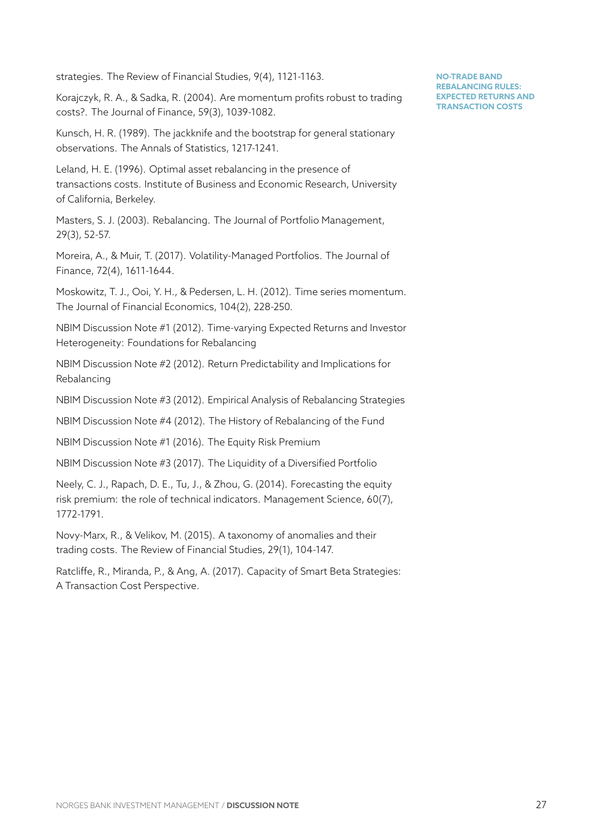strategies. The Review of Financial Studies, 9(4), 1121-1163.

Korajczyk, R. A., & Sadka, R. (2004). Are momentum profits robust to trading costs?. The Journal of Finance, 59(3), 1039-1082.

Kunsch, H. R. (1989). The jackknife and the bootstrap for general stationary observations. The Annals of Statistics, 1217-1241.

Leland, H. E. (1996). Optimal asset rebalancing in the presence of transactions costs. Institute of Business and Economic Research, University of California, Berkeley.

Masters, S. J. (2003). Rebalancing. The Journal of Portfolio Management, 29(3), 52-57.

Moreira, A., & Muir, T. (2017). Volatility-Managed Portfolios. The Journal of Finance, 72(4), 1611-1644.

Moskowitz, T. J., Ooi, Y. H., & Pedersen, L. H. (2012). Time series momentum. The Journal of Financial Economics, 104(2), 228-250.

NBIM Discussion Note #1 (2012). Time-varying Expected Returns and Investor Heterogeneity: Foundations for Rebalancing

NBIM Discussion Note #2 (2012). Return Predictability and Implications for Rebalancing

NBIM Discussion Note #3 (2012). Empirical Analysis of Rebalancing Strategies

NBIM Discussion Note #4 (2012). The History of Rebalancing of the Fund

NBIM Discussion Note #1 (2016). The Equity Risk Premium

NBIM Discussion Note #3 (2017). The Liquidity of a Diversified Portfolio

Neely, C. J., Rapach, D. E., Tu, J., & Zhou, G. (2014). Forecasting the equity risk premium: the role of technical indicators. Management Science, 60(7), 1772-1791.

Novy-Marx, R., & Velikov, M. (2015). A taxonomy of anomalies and their trading costs. The Review of Financial Studies, 29(1), 104-147.

Ratcliffe, R., Miranda, P., & Ang, A. (2017). Capacity of Smart Beta Strategies: A Transaction Cost Perspective.